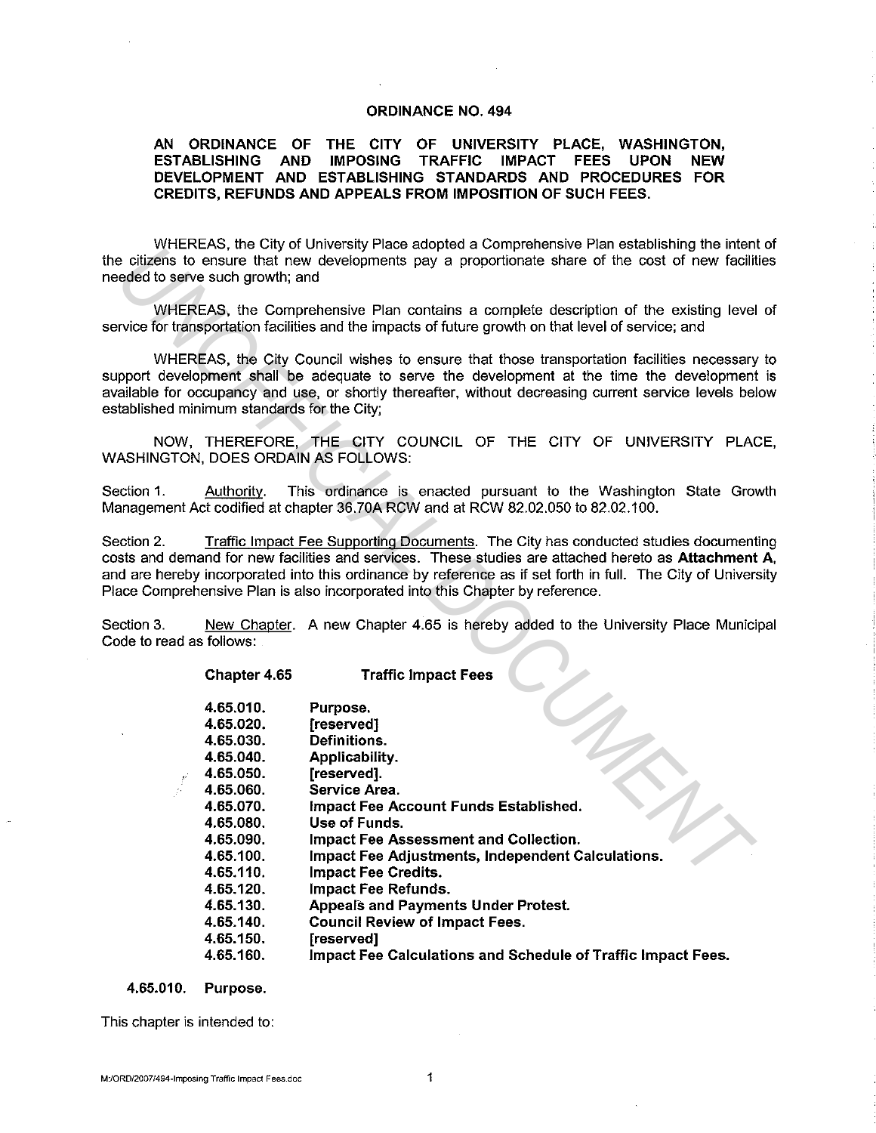#### **ORDINANCE NO. 494**

#### **AN ORDINANCE OF THE CITY OF UNIVERSITY PLACE, WASHINGTON, ESTABLISHING AND IMPOSING TRAFFIC IMPACT FEES UPON NEW DEVELOPMENT AND ESTABLISHING STANDARDS AND PROCEDURES FOR CREDITS, REFUNDS AND APPEALS FROM IMPOSITION OF SUCH FEES.**

WHEREAS, the City of University Place adopted a Comprehensive Plan establishing the intent of the citizens to ensure that new developments pay a proportionate share of the cost of new facilities needed to serve such growth; and

WHEREAS, the Comprehensive Plan contains a complete description of the existing level of service for transportation facilities and the impacts of future growth on that level of service; and

WHEREAS, the City Council wishes to ensure that those transportation facilities necessary to support development shall be adequate to serve the development at the time the development is available for occupancy and use, or shortly thereafter, without decreasing current service levels below established minimum standards for the City;

NOW, THEREFORE, **THE** CITY COUNCIL OF THE CITY OF UNIVERSITY PLACE, WASHINGTON, DOES ORDAIN AS FOLLOWS:

Section 1. Authority. This ordinance is enacted pursuant to the Washington State Growth Management Act codified at chapter 36.?0A RCW and at RCW 82.02.050 to 82.02.100.

Section 2. Traffic Impact Fee Supporting Documents. The City has conducted studies documenting costs and demand for new facilities and services. These studies are attached hereto as **Attachment A,**  and are hereby incorporated into this ordinance by reference as if set forth in full. The City of University Place Comprehensive Plan is also incorporated into this Chapter by reference.

Section 3. New Chapter. A new Chapter 4.65 is hereby added to the University Place Municipal Code to read as follows:

|                                      | eded to serve such growth; and                                                                                                                                                                | WEENLAS, the City of University Flace audpled a Complementary Fran establishing the intern<br>e citizens to ensure that new developments pay a proportionate share of the cost of new facilit                                                                                                                                                                                                                            |  |
|--------------------------------------|-----------------------------------------------------------------------------------------------------------------------------------------------------------------------------------------------|--------------------------------------------------------------------------------------------------------------------------------------------------------------------------------------------------------------------------------------------------------------------------------------------------------------------------------------------------------------------------------------------------------------------------|--|
|                                      |                                                                                                                                                                                               | WHEREAS, the Comprehensive Plan contains a complete description of the existing level<br>rvice for transportation facilities and the impacts of future growth on that level of service; and                                                                                                                                                                                                                              |  |
|                                      | tablished minimum standards for the City;                                                                                                                                                     | WHEREAS, the City Council wishes to ensure that those transportation facilities necessary<br>pport development shall be adequate to serve the development at the time the development<br>ailable for occupancy and use, or shortly thereafter, without decreasing current service levels be                                                                                                                              |  |
|                                      |                                                                                                                                                                                               | NOW, THEREFORE, THE CITY COUNCIL OF THE CITY OF UNIVERSITY PLAC<br>ASHINGTON, DOES ORDAIN AS FOLLOWS:                                                                                                                                                                                                                                                                                                                    |  |
| ection 1.                            | Authority.                                                                                                                                                                                    | This ordinance is enacted pursuant to the Washington State Grov<br>anagement Act codified at chapter 36.70A RCW and at RCW 82.02.050 to 82.02.100.                                                                                                                                                                                                                                                                       |  |
| ection 2.                            |                                                                                                                                                                                               | Traffic Impact Fee Supporting Documents. The City has conducted studies document<br>sts and demand for new facilities and services. These studies are attached hereto as Attachment<br>d are hereby incorporated into this ordinance by reference as if set forth in full. The City of Univer<br>ace Comprehensive Plan is also incorporated into this Chapter by reference.                                             |  |
| ection 3.<br>ode to read as follows: |                                                                                                                                                                                               | New Chapter. A new Chapter 4.65 is hereby added to the University Place Munici                                                                                                                                                                                                                                                                                                                                           |  |
|                                      | Chapter 4.65                                                                                                                                                                                  | <b>Traffic Impact Fees</b>                                                                                                                                                                                                                                                                                                                                                                                               |  |
|                                      | 4.65.010.<br>4.65.020.<br>4.65.030.<br>4.65.040.<br>4.65.050.<br>4.65.060.<br>4.65.070.<br>4.65.080.<br>4.65.090<br>4.65.100.<br>4.65.110.<br>4.65.120.<br>4.65.130<br>4.65.140.<br>4.65.150. | Purpose.<br>[reserved]<br><b>Definitions.</b><br>Applicability.<br>[reserved].<br>Service Area.<br>Impact Fee Account Funds Established.<br>Use of Funds.<br>Impact Fee Assessment and Collection.<br>Impact Fee Adjustments, Independent Calculations.<br><b>Impact Fee Credits.</b><br><b>Impact Fee Refunds.</b><br><b>Appeals and Payments Under Protest.</b><br><b>Council Review of Impact Fees.</b><br>[reserved] |  |
|                                      | 4.65.160.                                                                                                                                                                                     | Impact Fee Calculations and Schedule of Traffic Impact Fees.                                                                                                                                                                                                                                                                                                                                                             |  |

**4.65.010. Purpose.** 

This chapter is intended to: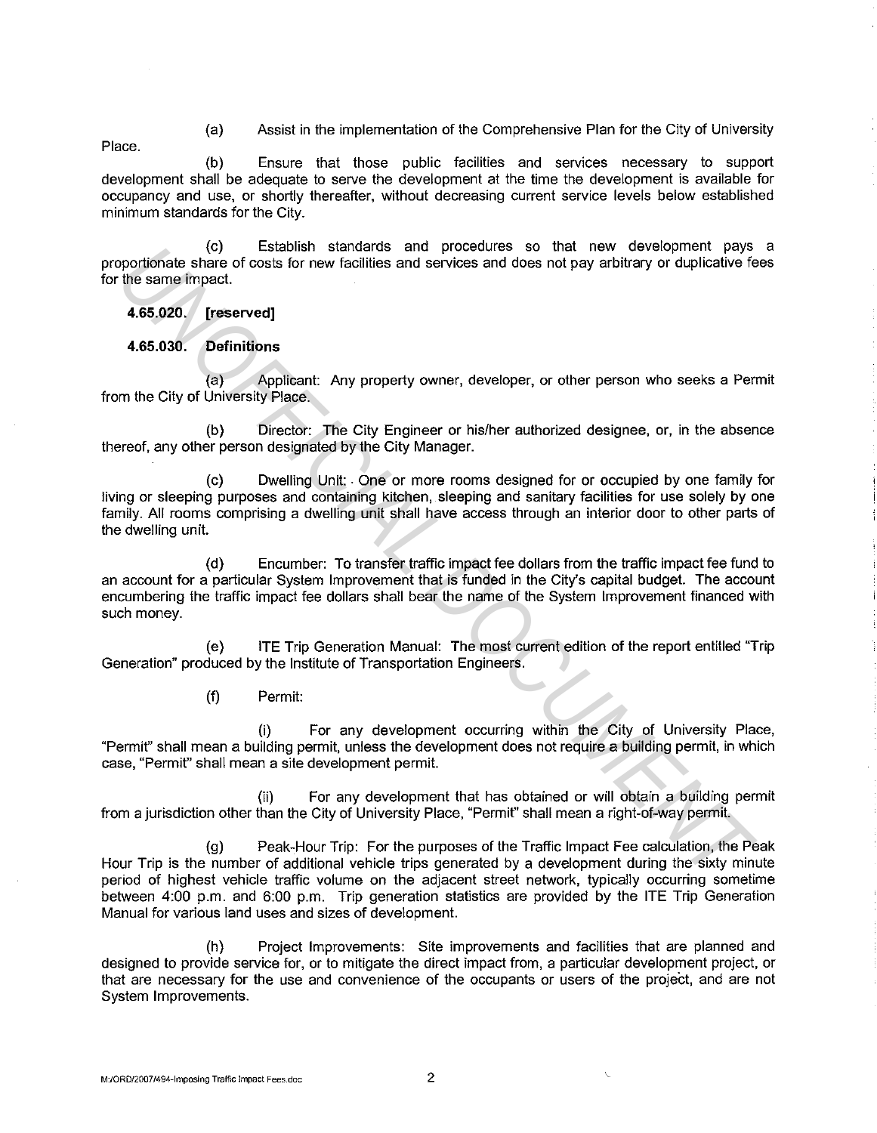(a) Assist in the implementation of the Comprehensive Plan for the City of University

Place.

(b) Ensure that those public facilities and services necessary to support development shall be adequate to serve the development at the time the development is available for occupancy and use, or shortly thereafter, without decreasing current service levels below established minimum standards for the City.

(c) Establish standards and procedures so that new development pays a proportionate share of costs for new facilities and services and does not pay arbitrary or duplicative fees for the same impact.

**4.65.020. [reserved]** 

**4.65.030. Definitions** 

(a) Applicant: Any property owner, developer, or other person who seeks a Permit from the City of University Place.

(b) Director: The City Engineer or his/her authorized designee, or, in the absence thereof, any other person designated by the City Manager.

(c) Dwelling Unit: . One or more rooms designed for or occupied by one family for living or sleeping purposes and containing kitchen, sleeping and sanitary facilities for use solely by one family. All rooms comprising a dwelling unit shall have access through an interior door to other parts of the dwelling unit. **ECC**<br> **ECC**<br> **ECC**<br> **ECC**<br> **ECC**<br> **ECC**<br> **ECC**<br> **ECC**<br> **ECC**<br> **ECC**<br> **ECCC**<br> **ECCC**<br> **ECCC**<br> **ECCC**<br> **ECCC**<br> **ECCC**<br> **ECCC**<br> **ECCC**<br> **ECCC**<br> **ECCC**<br> **ECCC**<br> **ECCC**<br> **ECCC**<br> **ECCC**<br> **ECCCC**<br> **ECCC**<br> **ECCC**<br> **ECCCC**<br> **ECCCC** 

(d) Encumber: To transfer traffic impact fee dollars from the traffic impact fee fund to an account for a particular System Improvement that is funded in the City's capital budget. The account encumbering the traffic impact fee dollars shall bear the name of the System Improvement financed with such money.

( e) ITE Trip Generation Manual: The most current edition of the report entitled "Trip Generation" produced by the Institute of Transportation Engineers.

(f) Permit:

(i) For any development occurring within the City of University Place, "Permit" shall mean a building permit, unless the development does not require a building permit, in which case, "Permif' shall mean a site development permit.

(ii) For any development that has obtained or will obtain a building permit from a jurisdiction other than the City of University Place, "Permit" shall mean a right-of-way permit.

(g) Peak-Hour Trip: For the purposes of the Traffic Impact Fee calculation, the Peak Hour Trip is the number of additional vehicle trips generated by a development during the sixty minute period of highest vehicle traffic volume on the adjacent street network, typically occurring sometime between 4:00 p.m. and 6:00 p.m. Trip generation statistics are provided by the ITE Trip Generation Manual for various land uses and sizes of development.

(h) Project Improvements: Site improvements and facilities that are planned and designed to provide service for, or to mitigate the direct impact from, a particular development project, or that are necessary for the use and convenience of the occupants or users of the project, and are not System Improvements.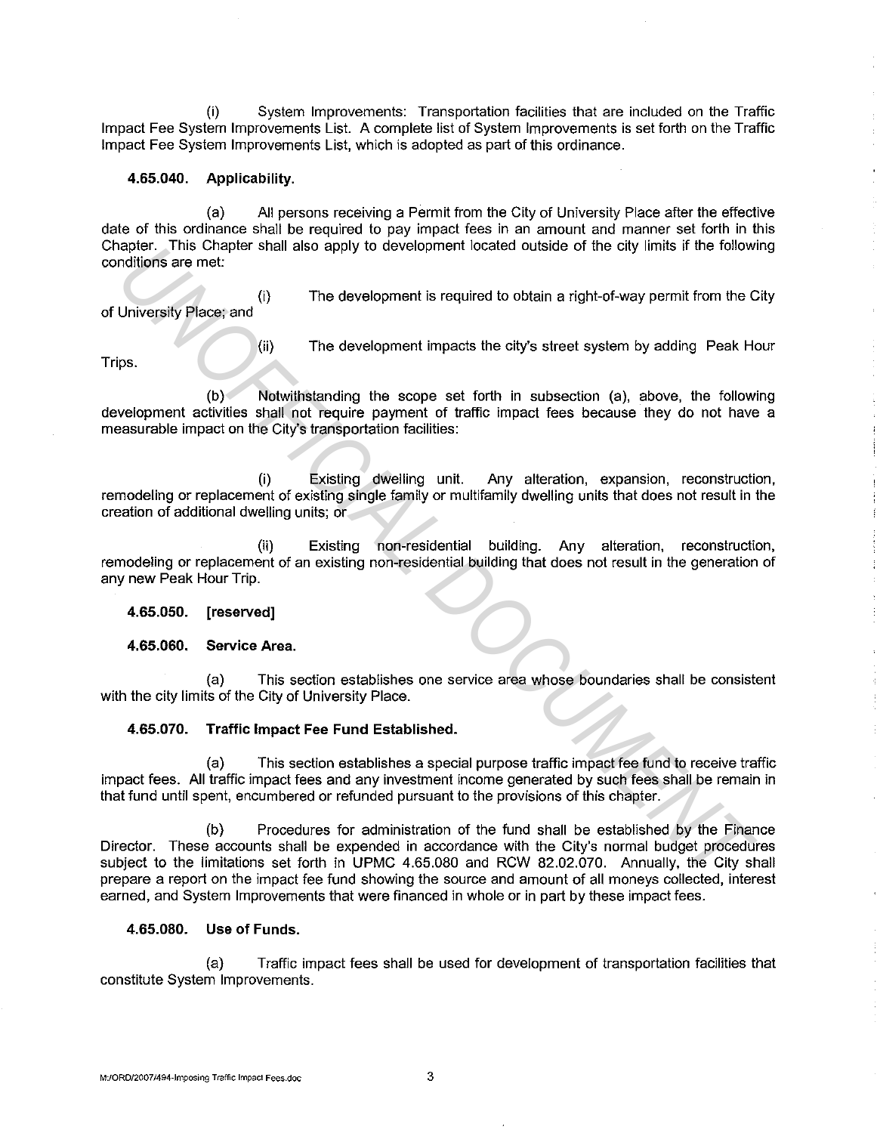(i) System Improvements: Transportation facilities that are included on the Traffic Impact Fee System Improvements List. A complete list of System Improvements is set forth on the Traffic Impact Fee System Improvements List, which is adopted as part of this ordinance.

#### **4.65.040. Applicability.**

(a) All persons receiving a Permit from the City of University Place after the effective date of this ordinance shall be required to pay impact fees in an amount and manner set forth in this Chapter. This Chapter shall also apply to development located outside of the city limits if the following conditions are met:

(i) The development is required to obtain a right-of-way permit from the City of University Place; and

Trips.

(ii) The development impacts the city's street system by adding Peak Hour

(b) Notwithstanding the scope set forth in subsection (a), above, the following development activities shall not require payment of traffic impact fees because they do not have a measurable impact on the City's transportation facilities:

(i) Existing dwelling unit. Any alteration, expansion, reconstruction, remodeling or replacement of existing single family or multifamily dwelling units that does not result in the creation of additional dwelling units; or

(ii) Existing non-residential building. Any alteration, reconstruction, remodeling or replacement of an existing non-residential building that does not result in the generation of any new Peak Hour Trip.

### **4.65.050. [reserved]**

**4.65.060. Service Area.** 

(a) This section establishes one service area whose boundaries shall be consistent with the city limits of the City of University Place.

### **4.65.070. Traffic Impact Fee Fund Established.**

(a) This section establishes a special purpose traffic impact fee fund to receive traffic impact fees. All traffic impact fees and any investment income generated by such fees shall be remain in that fund until spent, encumbered or refunded pursuant to the provisions of this chapter.

(b) Procedures for administration of the fund shall be established by the Finance Director. These accounts shall be expended in accordance with the City's normal budget procedures subject to the limitations set forth in UPMC 4.65.080 and RCW 82.02.070. Annually, the City shall prepare a report on the impact fee fund showing the source and amount of all moneys collected, interest earned, and System Improvements that were financed in whole or in part by these impact fees. **Ensember 1989**<br> **University Places and (i)** The development is required to obtain a right-of-way permit from the C<br>
University Places and (i) The development impacts the city's street system by adding Peak H<br>
yeappenent a

### **4.65.080. Use of Funds.**

(a) Traffic impact fees shall be used for development of transportation facilities that constitute System Improvements.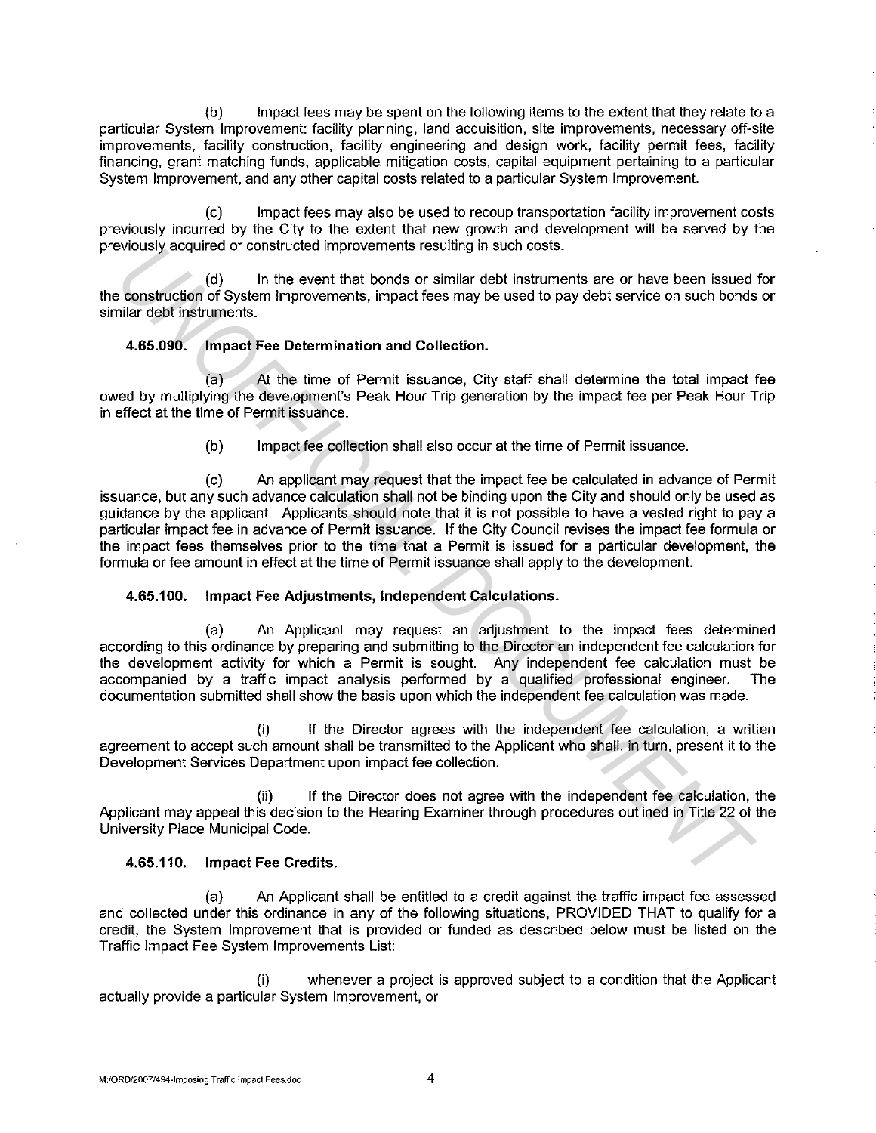(b) Impact fees may be spent on the following items to the extent that they relate to a particular System Improvement: facility planning, land acquisition, site improvements, necessary off-site improvements, facility construction, facility engineering and design work, facility permit fees, facility financing, grant matching funds, applicable mitigation costs, capital equipment pertaining to a particular System Improvement, and any other capital costs related to a particular System Improvement.

(c) Impact fees may also be used to recoup transportation facility improvement costs previously incurred by the City to the extent that new growth and development will be served by the previously acquired or constructed improvements resulting in such costs.

(d) In the event that bonds or similar debt instruments are or have been issued for the construction of System Improvements, impact fees may be used to pay debt service on such bonds or similar debt instruments.

#### **4.65.090. Impact Fee Determination and Collection.**

(a) At the time of Permit issuance, City staff shall determine the total impact fee owed by multiplying the development's Peak Hour Trip generation by the impact fee per Peak Hour Trip in effect at the time of Permit issuance.

(b) Impact fee collection shall also occur at the time of Permit issuance.

(c) An applicant may request that the impact fee be calculated in advance of Permit issuance, but any such advance calculation shall not be binding upon the City and should only be used as guidance by the applicant. Applicants should note that it is not possible to have a vested right to pay a particular impact fee in advance of Permit issuance. If the City Council revises the impact fee formula or the impact fees themselves prior to the time that a Permit is issued for a particular development, the formula or fee amount in effect at the time of Permit issuance shall apply to the development. **Example 10.** In the event that honds or similar dot bis more tossis.<br> **Example 10.** The benefit at the boat of similar dot instruments are or have been issued<br> **4.65.090.** Impact Fee Determination and Collection.<br>
4.65.09

### **4.65.100. Impact Fee Adjustments, Independent Calculations.**

(a) An Applicant may request an adjustment to the impact fees determined according to this ordinance by preparing and submitting to the Director an independent fee calculation for the development activity for which a Permit is sought. Any independent fee calculation must be accompanied by a traffic impact analysis performed by a qualified professional engineer. The documentation submitted shall show the basis upon which the independent fee calculation was made.

(i) If the Director agrees with the independent fee calculation, a written agreement to accept such amount shall be transmitted to the Applicant who shall, in turn, present it to the Development Services Department upon impact fee collection.

(ii) If the Director does not agree with the independent fee calculation, the Applicant may appeal this decision to the Hearing Examiner through procedures outlined in Title 22 of the University Place Municipal Code.

### **4.65.110. Impact Fee Credits.**

(a) An Applicant shall be entitled to a credit against the traffic impact fee assessed and collected under this ordinance in any of the following situations, PROVIDED THAT to qualify for a credit, the System Improvement that is provided or funded as described below must be listed on the Traffic Impact Fee System Improvements List:

(i) whenever a project is approved subject to a condition that the Applicant actually provide a particular System Improvement, or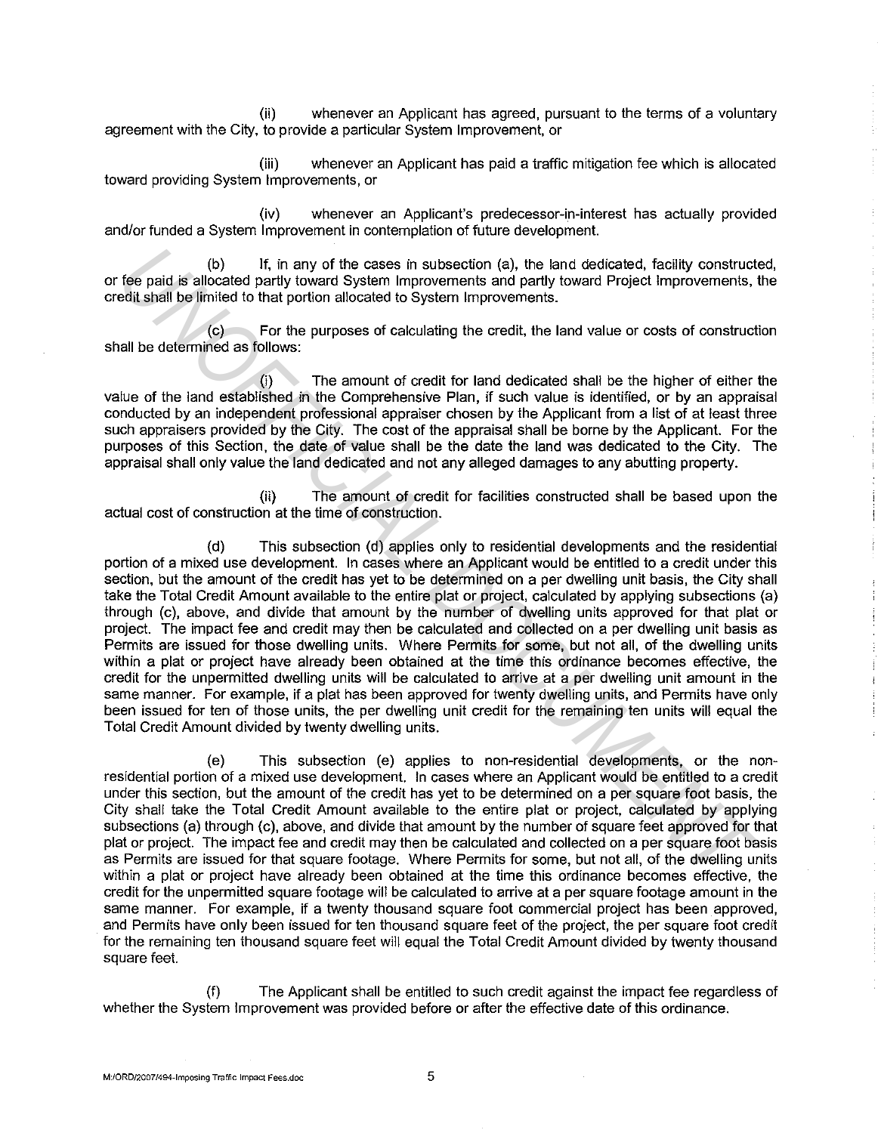(ii) whenever an Applicant has agreed, pursuant to the terms of a voluntary agreement with the City, to provide a particular System Improvement, or

(iii) whenever an Applicant has paid a traffic mitigation fee which is allocated toward providing System Improvements, or

(iv) whenever an Applicant's predecessor-in-interest has actually provided and/or funded a System Improvement in contemplation of future development.

(b) If, in any of the cases in subsection (a), the land dedicated, facility constructed, or fee paid is allocated partly toward System Improvements and partly toward Project Improvements, the credit shall be limited to that portion allocated to System Improvements.

(c) For the purposes of calculating the credit, the land value or costs of construction shall be determined as follows:

(i) The amount of credit for land dedicated shall be the higher of either the value of the land established in the Comprehensive Plan, if such value is identified, or by an appraisal conducted by an independent professional appraiser chosen by the Applicant from a list of at least three such appraisers provided by the City. The cost of the appraisal shall be borne by the Applicant. For the purposes of this Section, the date of value shall be the date the land was dedicated to the City. The appraisal shall only value the land dedicated and not any alleged damages to any abutting property.

(ii) The amount of credit for facilities constructed shall be based upon the actual cost of construction at the time of construction.

(d) This subsection (d) applies only to residential developments and the residential portion of a mixed use development. In cases where an Applicant would be entitled to a credit under this section, but the amount of the credit has yet to be determined on a per dwelling unit basis, the City shall take the Total Credit Amount available to the entire plat or project, calculated by applying subsections (a) through (c), above, and divide that amount by the number of dwelling units approved for that plat or project. The impact fee and credit may then be calculated and collected on a per dwelling unit basis as Permits are issued for those dwelling units. Where Permits for some, but not all, of the dwelling units within a plat or project have already been obtained at the time this ordinance becomes effective, the credit for the unpermitted dwelling units will be calculated to arrive at a per dwelling unit amount in the same manner. For example, if a plat has been approved for twenty dwelling units, and Permits have only been issued for ten of those units, the per dwelling unit credit for the remaining ten units will equal the Total Credit Amount divided by twenty dwelling units. **Example 10**<br> **Example 10**<br> **Example 10**<br> **Example 10** calculated particly board System improvements and particly board of the simulated particle by board particle in the order particle in the contributed by an energy of t

(e) This subsection (e) applies to non-residential developments, or the nonresidential portion of a mixed use development. In cases where an Applicant would be entitled to a credit under this section, but the amount of the credit has yet to be determined on a per square foot basis, the City shall take the Total Credit Amount available to the entire plat or project, calculated by applying subsections (a) through (c), above, and divide that amount by the number of square feet approved for that plat or project. The impact fee and credit may then be calculated and collected on a per square foot basis as Permits are issued for that square footage. Where Permits for some, but not all, of the dwelling units within a plat or project have already been obtained at the time this ordinance becomes effective, the credit for the unpermitted square footage will be calculated to arrive at a per square footage amount in the same manner. For example, if a twenty thousand square foot commercial project has been approved, and Permits have only been issued for ten thousand square feet of the project, the per square foot credit for the remaining ten thousand square feet will equal the Total Credit Amount divided by twenty thousand square feet.

The Applicant shall be entitled to such credit against the impact fee regardless of whether the System Improvement was provided before or after the effective date of this ordinance.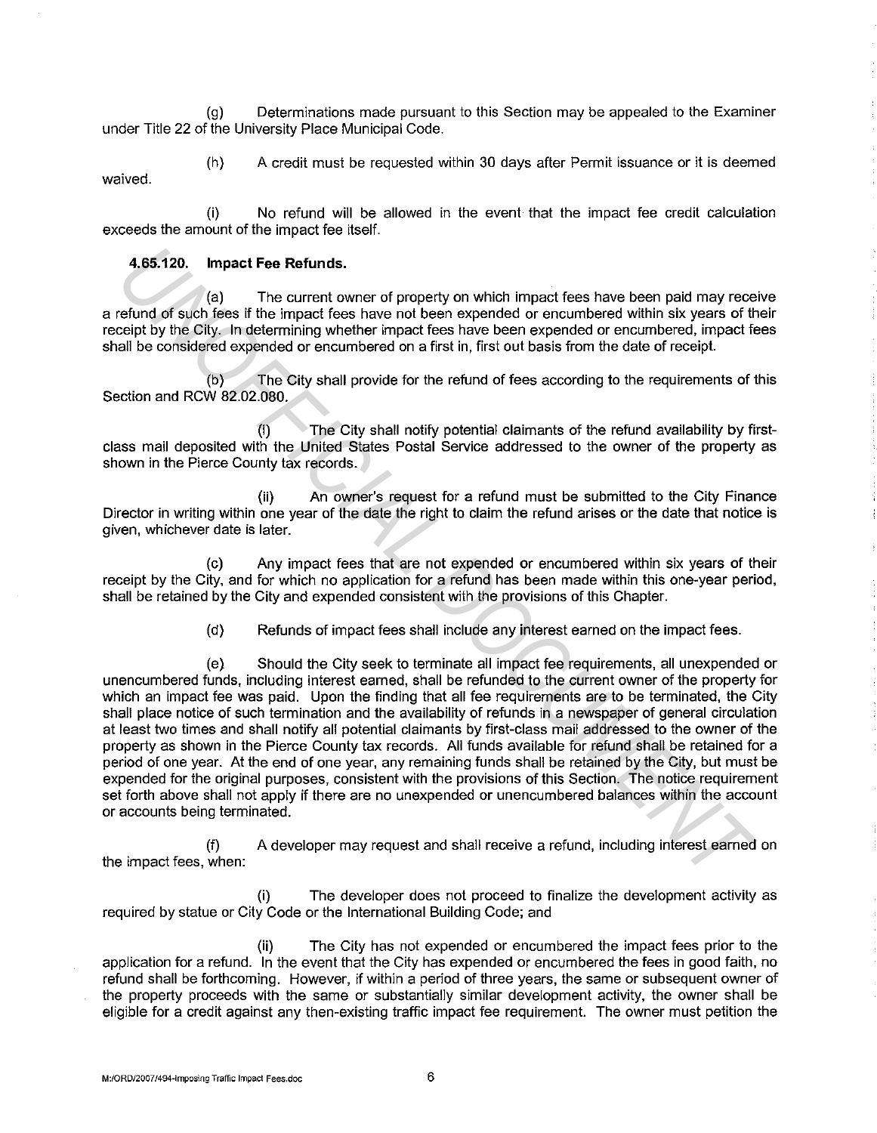(g) Determinations made pursuant to this Section may be appealed to the Examiner under Title 22 of the University Place Municipal Code.

(h) A credit must be requested within 30 days after Permit issuance or it is deemed waived.

(i) No refund will be allowed in the event that the impact fee credit calculation exceeds the amount of the impact fee itself.

#### **4.65.120. Impact Fee Refunds.**

(a) The current owner of property on which impact fees have been paid may receive a refund of such fees if the impact fees have not been expended or encumbered within six years of their receipt by the City. In determining whether impact fees have been expended or encumbered, impact fees shall be considered expended or encumbered on a first in, first out basis from the date of receipt.

(b) The City shall provide for the refund of fees according to the requirements of this Section and RCW 82.02.080.

(i) The City shall notify potential claimants of the refund availability by firstclass mail deposited with the United States Postal Service addressed to the owner of the property as shown in the Pierce County tax records.

(ii) An owner's request for a refund must be submitted to the City Finance Director in writing within one year of the date the right to claim the refund arises or the date that notice is given, whichever date is later.

(c) Any impact fees that are not expended or encumbered within six years of their receipt by the City, and for which no application for a refund has been made within this one-year period, shall be retained by the City and expended consistent with the provisions of this Chapter.

(d) Refunds of impact fees shall include any interest earned on the impact fees.

(e) Should the City seek to terminate all impact fee requirements, all unexpended or unencumbered funds, including interest earned, shall be refunded to the current owner of the property for which an impact fee was paid. Upon the finding that all fee requirements are to be terminated, the City shall place notice of such termination and the availability of refunds in a newspaper of general circulation at least two times and shall notify all potential claimants by first-class mail addressed to the owner of the property as shown in the Pierce County tax records. All funds available for refund shall be retained for a period of one year. At the end of one year, any remaining funds shall be retained by the City, but must be expended for the original purposes. consistent with the provisions of this Section. The notice requirement set forth above shall not apply if there are no unexpended or unencumbered balances within the account or accounts being terminated. 4.65.120. Impact Fee Refunds.<br>
The current owner of property on which impact fees have been paid may receive by the City, in determining whether impact fees have been expended or encurreneed, impact feesibly by the City, i

(f) A developer may request and shall receive a refund, including interest earned on the impact fees, when:

{i) The developer does not proceed to finalize the development activity as required by statue or City Code or the International Building Code; and

(ii) The City has not expended or encumbered the impact fees prior to the application for a refund. In the event that the City has expended or encumbered the fees in good faith, no refund shall be forthcoming. However, if within a period of three years, the same or subsequent owner of the property proceeds with the same or substantially similar development activity, the owner shall be eligible for a credit against any then-existing traffic impact fee requirement. The owner must petition the

**M:fORD/2007/494-lmposingTraffic Impact Fees.doc** 6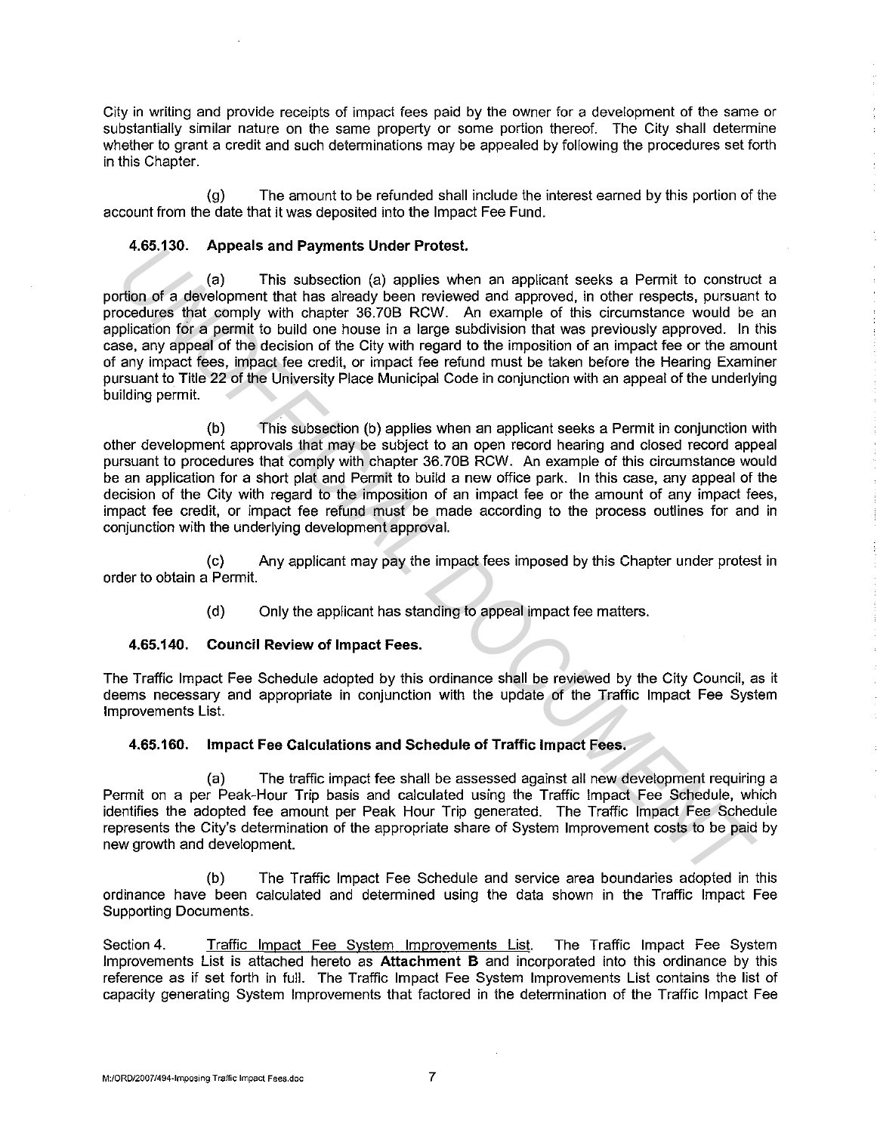City in writing and provide receipts of impact fees paid by the owner for a development of the same or substantially similar nature on the same property or some portion thereof. The City shall determine whether to grant a credit and such determinations may be appealed by following the procedures set forth in this Chapter.

(g) The amount to be refunded shall include the interest earned by this portion of the account from the date that it was deposited into the Impact Fee Fund.

#### **4.65.130. Appeals and Payments Under Protest.**

(a) This subsection (a) applies when an applicant seeks a Permit to construct a portion of a development that has already been reviewed and approved, in other respects, pursuant to procedures that comply with chapter 36.70B RCW. An example of this circumstance would be an application for a permit to build one house in a large subdivision that was previously approved. In this case, any appeal of the decision of the City with regard to the imposition of an impact fee or the amount of any impact fees, impact fee credit, or impact fee refund must be taken before the Hearing Examiner pursuant to Title 22 of the University Place Municipal Code in conjunction with an appeal of the underlying building permit. 4.65.130. **Appears and Payments Under Protest.**<br> **We also the defect of the system of the system of a papiles when an applicant seeks a Permit to construction of a detection meth tank and capt when a papile when an applica** 

(b) This subsection (b) applies when an applicant seeks a Permit in conjunction with other development approvals that may be subject to an open record hearing and closed record appeal pursuant to procedures that comply with chapter 36.70B RCW. An example of this circumstance would be an application for a short plat and Permit to build a new office park. In this case, any appeal of the decision of the City with regard to the imposition of an impact fee or the amount of any impact fees, impact fee credit, or impact fee refund must be made according to the process outlines for and in conjunction with the underlying development approval.

(c) Any applicant may pay the impact fees imposed by this Chapter under protest in order to obtain a Permit.

(d) Only the applicant has standing to appeal impact fee matters.

### **4.65.140. Council Review of Impact Fees.**

The Traffic Impact Fee Schedule adopted by this ordinance shall be reviewed by the City Council, as it deems necessary and appropriate in conjunction with the update of the Traffic Impact Fee System Improvements List.

#### **4.65.160. Impact Fee Calculations and Schedule of Traffic Impact Fees.**

(a) The traffic impact fee shall be assessed against all new development requiring a Permit on a per Peak-Hour Trip basis and calculated using the Traffic Impact Fee Schedule, which identifies the adopted fee amount per Peak Hour Trip generated. The Traffic Impact Fee Schedule represents the City's determination of the appropriate share of System Improvement costs to be paid by new growth and development.

(b) The Traffic Impact Fee Schedule and service area boundaries adopted in this ordinance have been calculated and determined using the data shown in the Traffic Impact Fee Supporting Documents.

Section 4. Traffic Impact Fee System Improvements List. The Traffic Impact Fee System Improvements List is attached hereto as **Attachment B** and incorporated into this ordinance by this reference as if set forth in full. The Traffic Impact Fee System Improvements List contains the list of capacity generating System Improvements that factored in the determination of the Traffic Impact Fee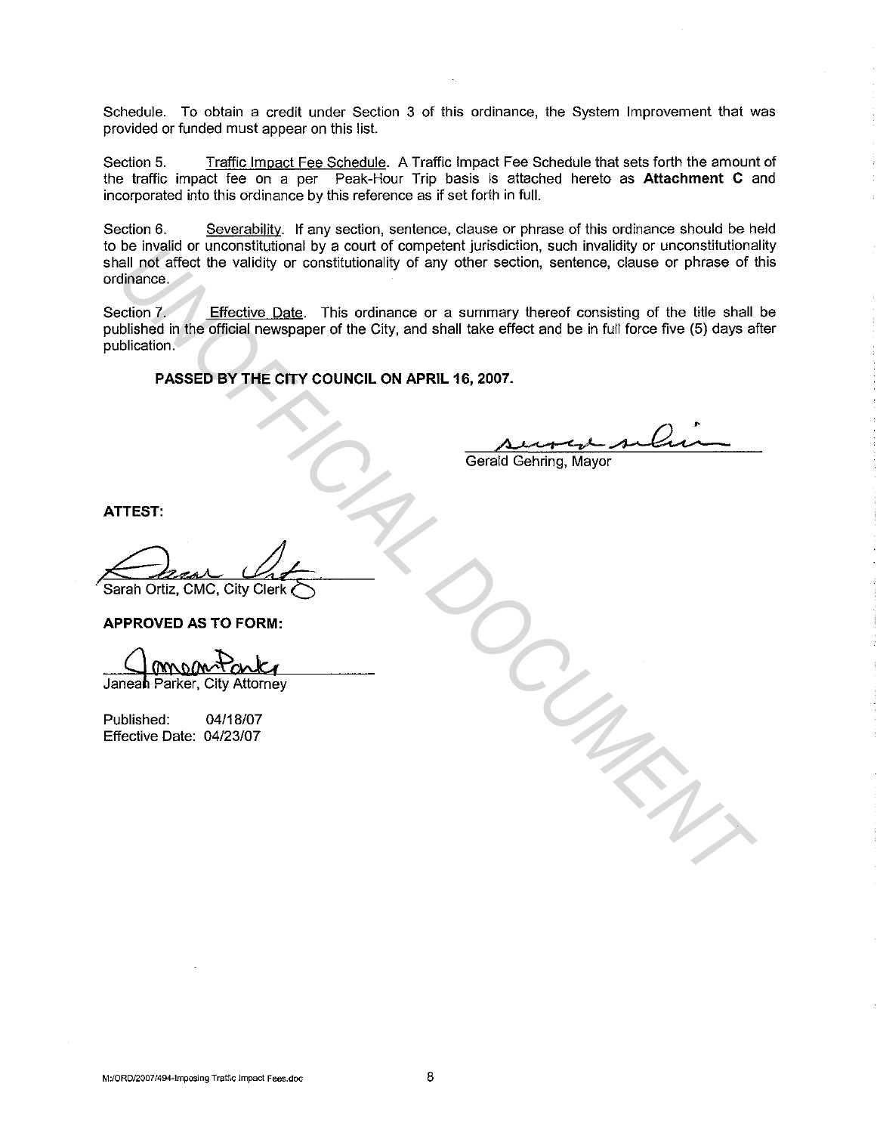Schedule. To obtain a credit under Section 3 of this ordinance, the System Improvement that was provided or funded must appear on this list.

Section 5. Traffic Impact Fee Schedule. A Traffic Impact Fee Schedule that sets forth the amount of the traffic impact fee on a per Peak-Hour Trip basis is attached hereto as **Attachment C** and incorporated into this ordinance by this reference as if set forth in full.

Section 6. Severability. If any section, sentence, clause or phrase of this ordinance should be held to be invalid or unconstitutional by a court of competent jurisdiction, such invalidity or unconstitutionality shall not affect the validity or constitutionality of any other section, sentence, clause or phrase of this ordinance.

Section 7. Effective Date. This ordinance or a summary thereof consisting of the title shall be published in the official newspaper of the City, and shall take effect and be in full force five (5) days after publication. **USE INVESTIGATION CONSULTERED IN THE CONSULTERED IN THE CONSULTERED IN THE CONSULTERED IN THE CONSULTERED OF THE CONSULTERED OF THE CONSULTERED OF THE CONSULTERED OF THE CONSULTERED OF THE CONSULTERED OF THE CONSULTERED O** 

**PASSED BY THE CITY COUNCIL ON APRIL 16, 2007.** 

Gerald Gehring, Mayor

**ATTEST:** 

**APPROVED AS TO FORM:** 

Published: 04/18/07 Effective Date: 04/23/07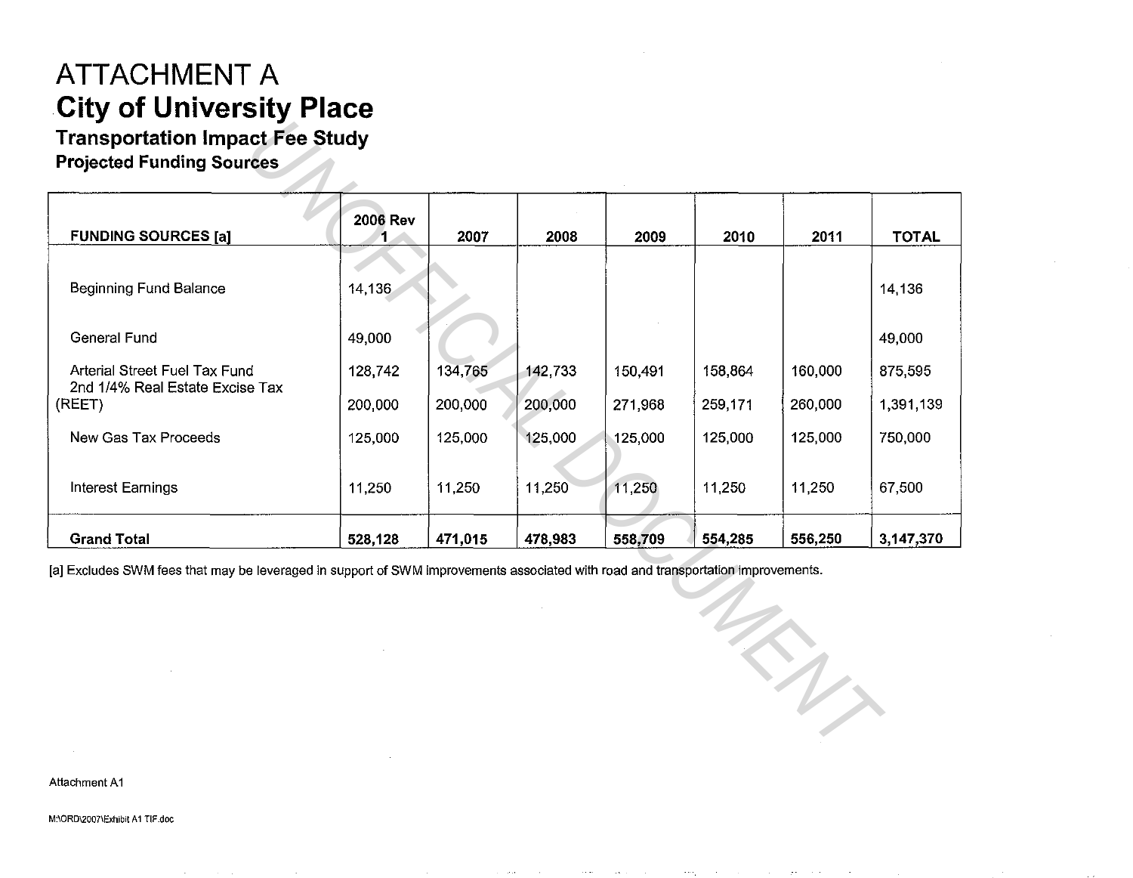## **ATTACHMENT A City of University Place**

### **Transportation Impact Fee Study**

| <b>FUNDING SOURCES [a]</b>                                                                                                       | <b>2006 Rev</b> | 2007    | 2008    | 2009    | 2010    | 2011    | <b>TOTAL</b> |
|----------------------------------------------------------------------------------------------------------------------------------|-----------------|---------|---------|---------|---------|---------|--------------|
| <b>Beginning Fund Balance</b>                                                                                                    | 14,136          |         |         |         |         |         | 14,136       |
| <b>General Fund</b>                                                                                                              | 49,000          |         |         |         |         |         | 49,000       |
| Arterial Street Fuel Tax Fund                                                                                                    | 128,742         | 134,765 | 142,733 | 150,491 | 158,864 | 160,000 | 875,595      |
| 2nd 1/4% Real Estate Excise Tax<br>(REET)                                                                                        | 200,000         | 200,000 | 200,000 | 271,968 | 259,171 | 260,000 | 1,391,139    |
| New Gas Tax Proceeds                                                                                                             | 125,000         | 125,000 | 125,000 | 125,000 | 125,000 | 125,000 | 750,000      |
| <b>Interest Earnings</b>                                                                                                         | 11,250          | 11,250  | 11,250  | 11,250  | 11,250  | 11,250  | 67,500       |
| <b>Grand Total</b>                                                                                                               | 528,128         | 471,015 | 478,983 | 558,709 | 554,285 | 556,250 | 3,147,370    |
| [a] Excludes SWM fees that may be leveraged in support of SWM improvements associated with road and transportation improvements. |                 |         |         |         |         | $\eta$  |              |

Attachment A1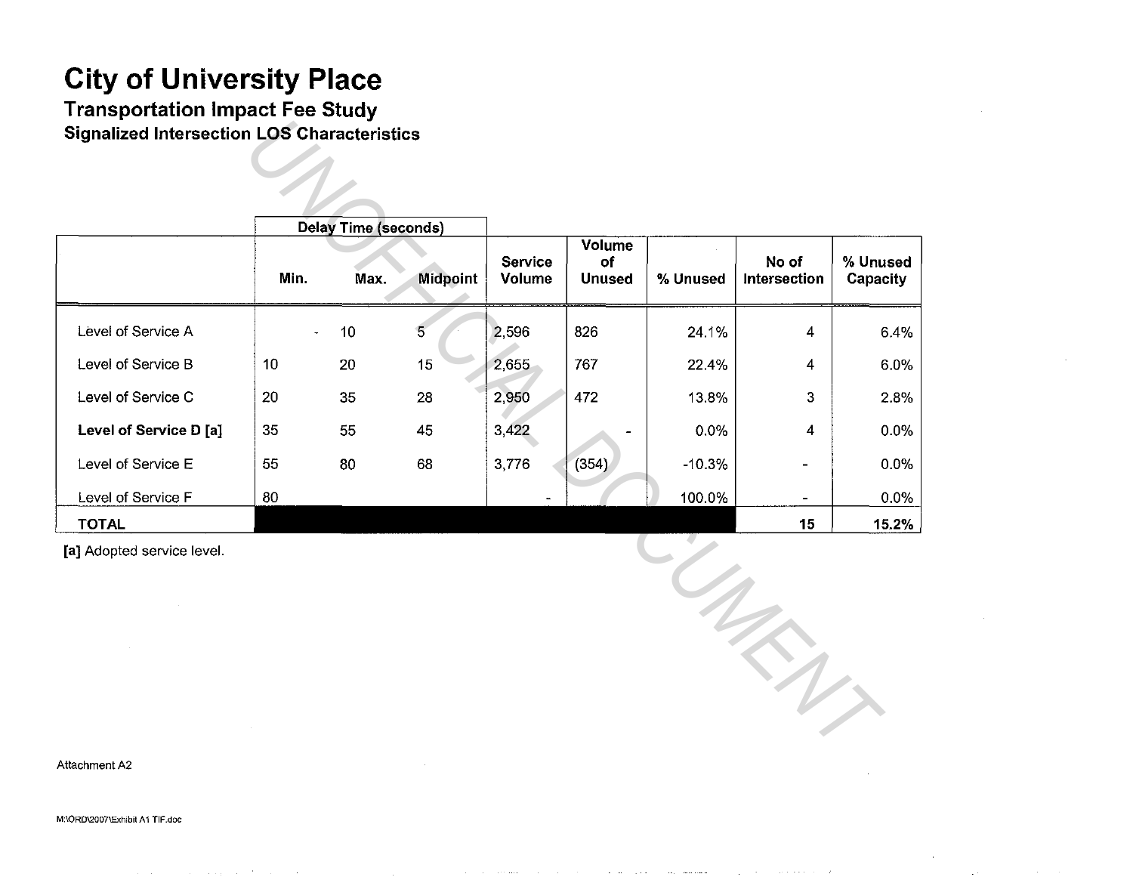Transportation Impact Fee Study Signalized Intersection LOS Characteristics

|                            |      | <b>Delay Time (seconds)</b> |                 |                   |                               |          |                       |                      |
|----------------------------|------|-----------------------------|-----------------|-------------------|-------------------------------|----------|-----------------------|----------------------|
|                            | Min. | Max.                        | <b>Midpoint</b> | Service<br>Volume | Volume<br>of<br><b>Unused</b> | % Unused | No of<br>Intersection | % Unused<br>Capacity |
| Level of Service A         |      | 10                          | 5 <sup>7</sup>  | 2,596             | 826                           | 24.1%    | 4                     | 6.4%                 |
| Level of Service B         | 10   | 20                          | 15              | 2,655             | 767                           | 22.4%    | 4                     | 6.0%                 |
| Level of Service C         | 20   | 35                          | ${\bf 28}$      | 2,950             | 472                           | 13.8%    | 3                     | 2.8%                 |
| Level of Service D [a]     | 35   | 55                          | 45              | 3,422             |                               | 0.0%     | 4                     | 0.0%                 |
| Level of Service E         | 55   | 80                          | 68              | 3,776             | (354)                         | $-10.3%$ |                       | 0.0%                 |
| Level of Service F         | 80   |                             |                 |                   |                               | 100.0%   | $\blacksquare$        | 0.0%                 |
| <b>TOTAL</b>               |      |                             |                 |                   |                               |          | 15                    | 15.2%                |
| [a] Adopted service level. |      |                             |                 |                   |                               |          |                       |                      |

Attachment A2

M:\ORD\2007\Exhibit A 1 TIF.doc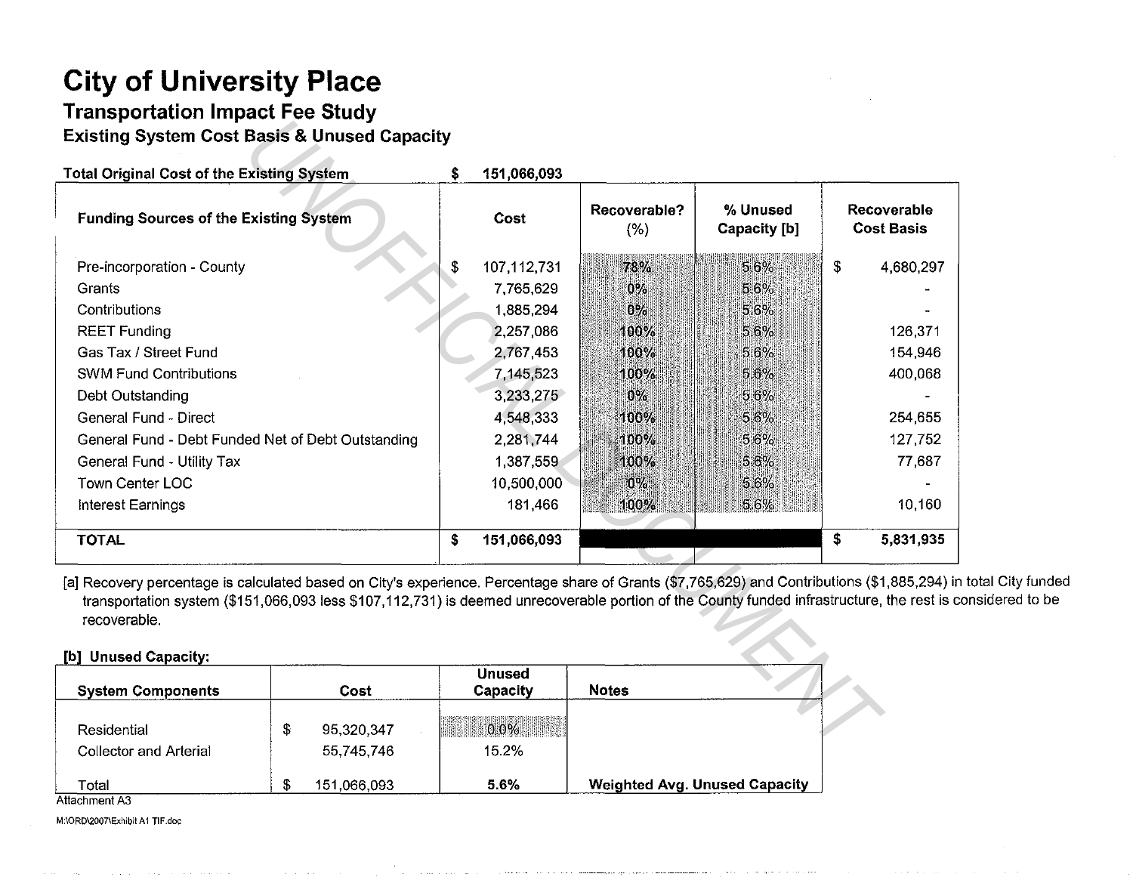### **Transportation Impact Fee Study Existing System Cost Basis & Unused Capacity**

| <b>Existing System Cost Basis &amp; Unused Capacity</b>                                                                                                                               |                                                                                                                                             |                   |                     |                          |                            |                                  |
|---------------------------------------------------------------------------------------------------------------------------------------------------------------------------------------|---------------------------------------------------------------------------------------------------------------------------------------------|-------------------|---------------------|--------------------------|----------------------------|----------------------------------|
| <b>Total Original Cost of the Existing System</b>                                                                                                                                     |                                                                                                                                             | \$<br>151,066,093 |                     |                          |                            |                                  |
| <b>Funding Sources of the Existing System</b>                                                                                                                                         |                                                                                                                                             | Cost              | Recoverable?<br>(%) | % Unused<br>Capacity [b] |                            | Recoverable<br><b>Cost Basis</b> |
| Pre-incorporation - County                                                                                                                                                            |                                                                                                                                             | 107,112,731<br>\$ | 78%                 | $5.6\%$                  | $\boldsymbol{\mathcal{S}}$ | 4,680,297                        |
| Grants                                                                                                                                                                                |                                                                                                                                             | 7,765,629         | $0\%$               | 5,6%                     |                            |                                  |
| Contributions                                                                                                                                                                         |                                                                                                                                             | 1,885,294         | 0%                  | 5.6%                     |                            |                                  |
| <b>REET Funding</b>                                                                                                                                                                   |                                                                                                                                             | 2,257,086         | 100%                | 5.6%                     |                            | 126,371                          |
| Gas Tax / Street Fund                                                                                                                                                                 |                                                                                                                                             | 2,767,453         | 100%                | 5.6%                     |                            | 154,946                          |
| <b>SWM Fund Contributions</b>                                                                                                                                                         |                                                                                                                                             | 7,145,523         | 100%                | 5.6%                     |                            | 400,068                          |
| Debt Outstanding                                                                                                                                                                      |                                                                                                                                             | 3,233,275         | $0\%$               | 5.6%                     |                            |                                  |
| General Fund - Direct                                                                                                                                                                 |                                                                                                                                             | 4,548,333         | 100%                | 5.6%                     |                            | 254,655                          |
| General Fund - Debt Funded Net of Debt Outstanding                                                                                                                                    |                                                                                                                                             | 2,281,744         | 100%                | 5.6%                     |                            | 127,752                          |
| General Fund - Utility Tax                                                                                                                                                            |                                                                                                                                             | 1,387,559         | 100%                | 5.6%                     |                            | 77,687                           |
| Town Center LOC                                                                                                                                                                       |                                                                                                                                             | 10,500,000        | $0\%$               | 56%                      |                            |                                  |
| Interest Earnings                                                                                                                                                                     |                                                                                                                                             | 181,466           | 100%                | 5.6%                     |                            | 10,160                           |
| <b>TOTAL</b>                                                                                                                                                                          |                                                                                                                                             | 151,066,093<br>S  |                     |                          | \$                         | 5,831,935                        |
| [a] Recovery percentage is calculated based on City's experience. Percentage share of Grants (\$7,765,629) and Contributions (\$1,885,294) ir<br>recoverable.<br>[b] Unused Capacity: | transportation system (\$151,066,093 less \$107,112,731) is deemed unrecoverable portion of the County funded infrastructure, the rest is c |                   |                     |                          |                            |                                  |
|                                                                                                                                                                                       |                                                                                                                                             | <b>Unused</b>     |                     |                          |                            |                                  |
| <b>System Components</b>                                                                                                                                                              | Cost                                                                                                                                        | Capacity          | <b>Notes</b>        |                          |                            |                                  |
| Residential                                                                                                                                                                           | S<br>95,320,347                                                                                                                             | $0.0\%$           |                     |                          |                            |                                  |
| Collector and Arterial                                                                                                                                                                | 55,745,746                                                                                                                                  | 15.2%             |                     |                          |                            |                                  |

[a] Recovery percentage is calculated based on City's experience. Percentage share of Grants (\$7,765,629) and Contributions (\$1,885,294) in total City funded transportation system (\$151,066,093 less \$107, 112, 731) is deemed unrecoverable portion of the County funded infrastructure, the rest is considered to be recoverable.

| <b>System Components</b>                     |   | Cost                     | Unused<br>Capacity | <b>Notes</b>                         |  |
|----------------------------------------------|---|--------------------------|--------------------|--------------------------------------|--|
| Residential<br><b>Collector and Arterial</b> | S | 95,320,347<br>55,745,746 | $0.0\%$<br>15.2%   |                                      |  |
| Total<br>$0.44 - 0.02 - 0.4$                 |   | 151,066,093              | 5.6%               | <b>Weighted Avg. Unused Capacity</b> |  |

**Attachment A3** 

**M:\OR0\2007\Exhibil A1 TIF.doc**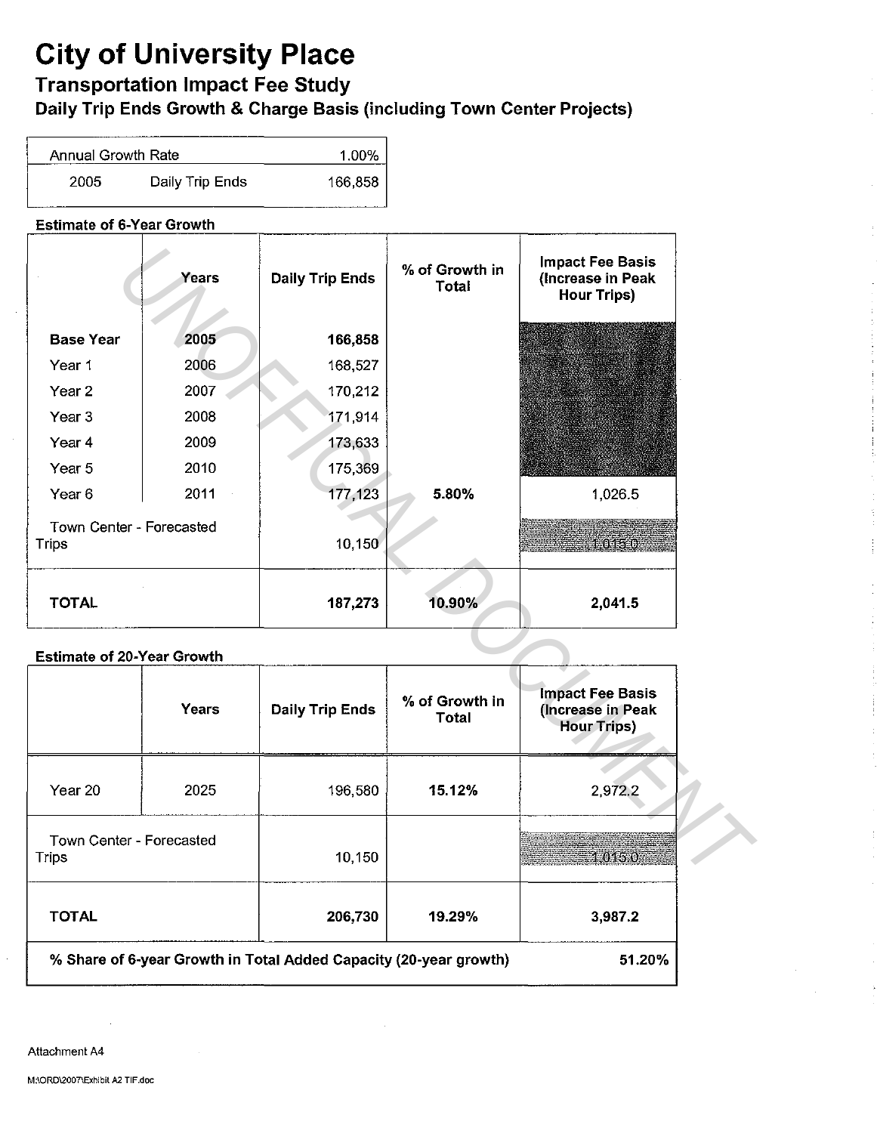### Transportation Impact Fee Study

Daily Trip Ends Growth & Charge Basis (including Town Center Projects}

| Annual Growth Rate |                 | 1.00%   |
|--------------------|-----------------|---------|
| 2005               | Daily Trip Ends | 166,858 |

### Estimate of 6-Year Growth

|                                          | Years | <b>Daily Trip Ends</b> | % of Growth in<br>Total        | <b>Impact Fee Basis</b><br>(Increase in Peak<br><b>Hour Trips)</b> |
|------------------------------------------|-------|------------------------|--------------------------------|--------------------------------------------------------------------|
| <b>Base Year</b>                         | 2005  | 166,858                |                                |                                                                    |
| Year 1                                   | 2006  | 168,527                |                                |                                                                    |
| Year <sub>2</sub>                        | 2007  | 170,212                |                                |                                                                    |
| Year <sub>3</sub>                        | 2008  | 171,914                |                                |                                                                    |
| Year 4                                   | 2009  | 173,633                |                                |                                                                    |
| Year 5                                   | 2010  | 175,369                |                                |                                                                    |
| Year <sub>6</sub>                        | 2011  | 177,123                | 5.80%                          | 1,026.5                                                            |
| Town Center - Forecasted<br><b>Trips</b> |       | 10,150                 |                                | 1,015.0                                                            |
| <b>TOTAL</b>                             |       | 187,273                | 10.90%                         | 2,041.5                                                            |
| <b>Estimate of 20-Year Growth</b>        |       |                        |                                |                                                                    |
|                                          | Years | <b>Daily Trip Ends</b> | % of Growth in<br><b>Total</b> | <b>Impact Fee Basis</b><br>(Increase in Peak<br><b>Hour Trips)</b> |
| Year 20                                  | 2025  | 196,580                | 15.12%                         | 2,972.2                                                            |
| Town Center - Forecasted<br><b>Trips</b> |       | 10,150                 |                                | 1,015.0                                                            |

### Estimate of 20-Year Growth

|                                          | Years | <b>Daily Trip Ends</b>                                            | % of Growth in<br>Total | <b>Impact Fee Basis</b><br>(Increase in Peak<br><b>Hour Trips)</b> |
|------------------------------------------|-------|-------------------------------------------------------------------|-------------------------|--------------------------------------------------------------------|
| Year 20                                  | 2025  | 196,580                                                           | 15.12%                  | 2,972.2                                                            |
| Town Center - Forecasted<br><b>Trips</b> |       | 10,150                                                            |                         | 10150                                                              |
| <b>TOTAL</b>                             |       | 206,730                                                           | 19.29%                  | 3.987.2                                                            |
|                                          |       | % Share of 6-year Growth in Total Added Capacity (20-year growth) |                         | 51.20%                                                             |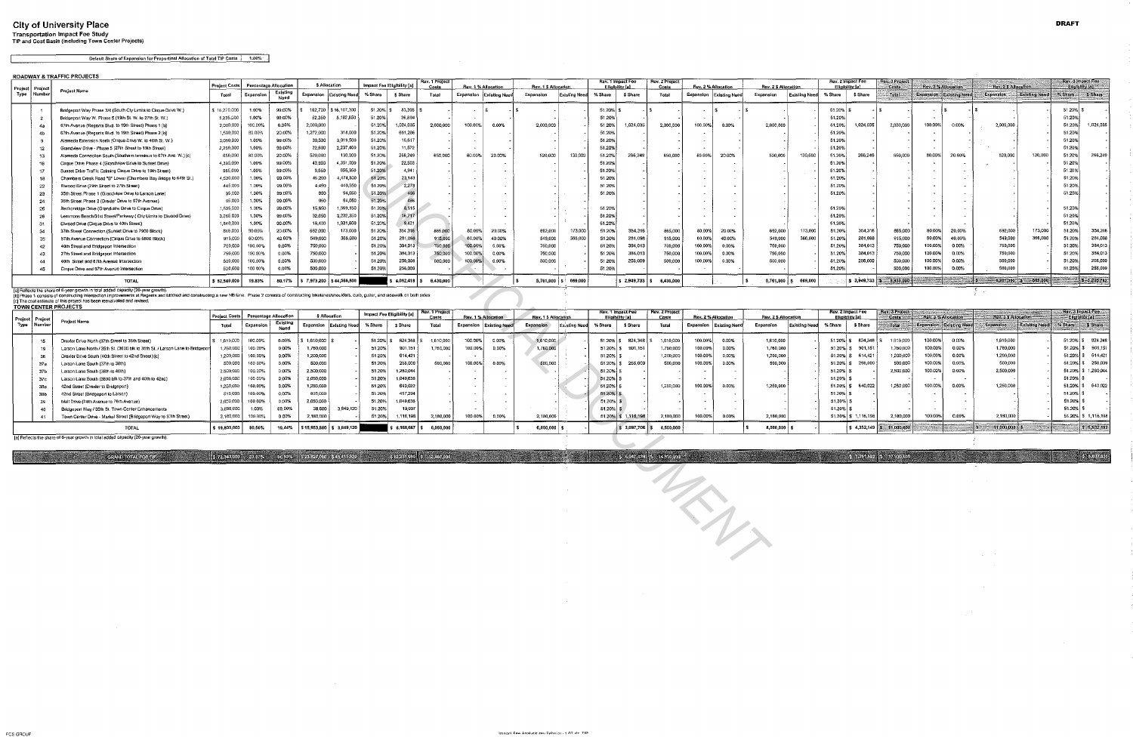### City of University Place Transportation Impact Fee Study TIP and Cost Basis {including Town Center Projects)

Default Share of Expansion for Proportinal Allocation of Total TIP Costs | 1.00%

|      |                             | ROADWAY & TRAFFIC PROJECTS                                                                                                                                                                              |                      |           |                       |                                                                                                |                  |                            |           |                |                          |                      |                           |                      |                 |                   |                         |           |                     |                      |                      |                 |                   |                                |                     |                           |                     |                      |                                      |                 |
|------|-----------------------------|---------------------------------------------------------------------------------------------------------------------------------------------------------------------------------------------------------|----------------------|-----------|-----------------------|------------------------------------------------------------------------------------------------|------------------|----------------------------|-----------|----------------|--------------------------|----------------------|---------------------------|----------------------|-----------------|-------------------|-------------------------|-----------|---------------------|----------------------|----------------------|-----------------|-------------------|--------------------------------|---------------------|---------------------------|---------------------|----------------------|--------------------------------------|-----------------|
|      |                             |                                                                                                                                                                                                         | <b>Project Costs</b> |           | Percentage Allocation | <b>\$ Allocation</b>                                                                           |                  | Impact Fee Eligibility [a] |           | Rev. 1 Project | Rev. 1 % Alfocation      |                      | Rev. 1 \$ Allocation      |                      | Eligibility [a] | Rev. 1 Impact Fee | Rev. 2 Project<br>Costs |           | Rev. 2 % Allocation | Rev. 2 \$ Allocation |                      | Etigibility [a] | Rev. 2 Impact Fee | Rev. 3 Project<br>$\sim$ Costs | Rev. 3 % Allocation |                           | Rev. 3 S Altocation |                      | Rev. 3 Impact Fee<br>Eligibility [a] |                 |
| Type | Project   Project<br>Number | Project Name                                                                                                                                                                                            | Total                | Expansion | Existing<br>Need      | Expansion                                                                                      | Existing Need    | % Share                    | S Share   | Total          | Expansion                | <b>Existing Need</b> | Expansion                 | <b>Existing Need</b> | % Share         | S Share           | Total                   | Expansion | Existing Need       | Expansion            | <b>Existing Need</b> | % Share         | \$ Share          | Total                          |                     | ⊱Expansion ⊹Existing Need | <b>Expansion</b>    | <b>Existing Need</b> | % Share                              | S Share         |
|      |                             | Bridgeport Way Phase 3/4 (South Cty Limits to Cirque Drive W.)                                                                                                                                          | \$16,270,000         | 1.00%     | 99,00%                | 162,700                                                                                        | \$16,107,300     | 51.20% \$                  | 83,305    |                | $\cdot$                  |                      |                           |                      | 51.20%          |                   |                         |           |                     |                      |                      | $51.20\%$       |                   |                                |                     |                           |                     |                      | $51.20%$ S                           |                 |
|      |                             | Bridgeport Way W. Phase 5 (19th St. W. to 27th St. W.)                                                                                                                                                  | 5235,000             | 1.00%     | 99.00%                | 52,350                                                                                         | 5,182,650        | 51.20%                     | 26,804    |                | $\sim$                   |                      |                           |                      | 51.20%          |                   |                         |           |                     |                      |                      | 51.20%          |                   |                                |                     |                           |                     |                      | 51.20%                               |                 |
|      | 43                          | 67th Avenue (Regents Blvd. to 19th Street) Phase 1 (t                                                                                                                                                   | 2.000,000            | 100.00%   | 0.00%                 | 2,000,000                                                                                      |                  | 51.20%                     | 1,024,035 | 2,000,000      | 100.00%                  | $0.00\%$             | 2,000,000                 |                      | 51.20%          | 1,024,035         | 2,000,000               | 100,00%   | 0.00%               | 2,000,000            |                      | 51.20%          | 024,035           | 2,000,000                      | 100.00%             | 0.00%                     | 2,000,000           |                      | 51.20%                               | 1.024.035       |
|      |                             | 67th Avenue (Regents Blvd. to 19th Street) Phase 2 [b]                                                                                                                                                  | 1,590,000            | 80.00%    | 20,00%                | 1,272,000                                                                                      | 318,000          | 51.20%                     | 651,286   |                |                          |                      |                           |                      | 51.20%          |                   |                         |           |                     |                      |                      | 51.20%          |                   |                                |                     |                           |                     |                      | 51.20%                               |                 |
|      |                             | Alameda Extension North (Cirque Drive W, to 40th St. W.)                                                                                                                                                | 3.050,00             | 1.00%     | 99.00%                | 30,500                                                                                         | 3.019.500        | 51.20%                     | 15,617    |                |                          |                      |                           |                      | 51.20%          |                   |                         |           |                     |                      |                      | 51.20%          |                   |                                |                     |                           |                     |                      | 51.20%                               |                 |
|      |                             | Grandview Drive - Phase 5 (27th Street to 19th Street)                                                                                                                                                  | 2,260,000            | 1.00%     | 99.00%                | <b>22,600</b>                                                                                  | 2.237.400        | 51.20%                     | 11,572    |                | $\overline{\phantom{a}}$ |                      |                           |                      | 51.20%          |                   |                         |           |                     |                      |                      | 51.20%          |                   |                                |                     |                           |                     |                      | 51.20%                               |                 |
|      | 13                          | Alameda Connection South (Southern terminus to 67th Ave. W.) [c]                                                                                                                                        | 650,00               | 80,00%    | 20.00%                | 520,000                                                                                        | 130,000          | 51.20%                     | 266,249   | 650,000        | 80.00%                   | 20.00%               | 520,000                   | 130,000              | 51,20%          | 266.24            | 550,000                 | 80.00%    | 20.00%              | 520,000              | 130,000              | 51.20%          | 266.249           | 650,000                        | 80,00%              | 20.00%                    | 520,000             | 130,000              | 51.20%                               | 266.249         |
|      |                             | Cirque Drive Phase 4 (Grandview Drive to Sunset Drive)                                                                                                                                                  | 4.395,000            | 1.00%     | 99,00%                |                                                                                                | 4.351.050        | 51.20%                     | 22,503    |                |                          |                      |                           |                      | 51.20%          |                   |                         |           |                     |                      |                      | 51.20%          |                   |                                |                     |                           |                     |                      | 51.20%                               |                 |
|      |                             | Sunset Drive Traffic Calming Cirque Drive to 19th Street)                                                                                                                                               | 965,00               | 1.00%     | 99.00%                | 9,650                                                                                          | 955,350          | 51.20%                     | 4.941     |                |                          |                      |                           |                      | 51.20%          |                   |                         |           |                     |                      |                      | 51.20%          |                   |                                |                     |                           |                     |                      | 51.20%                               |                 |
|      |                             | Chambers Creek Road "B" Lower (Chambers Bay Bridge Io 64th St.)                                                                                                                                         | 4,520,000            | 1.00%     | 99,00%                | 45,200                                                                                         | 474,800          | 51.20%                     | 23.143    |                |                          |                      |                           |                      | 51.20%          |                   |                         |           |                     |                      |                      | 51.20%          |                   |                                |                     |                           |                     |                      | 51.20%                               |                 |
|      | 22                          | Elwood Drive (29th Street to 27th Street)                                                                                                                                                               | 445,000              | 1.00%     | 99,00%                | 4.450                                                                                          | 440,550          | 51.20%                     | 2.278     |                |                          |                      |                           |                      | 51,20%          |                   |                         |           |                     |                      |                      | 51.20%          |                   |                                |                     |                           |                     |                      | 51.20%                               |                 |
|      |                             | 35th Street Phase 1 (Grandview Drive to Larson Lane)                                                                                                                                                    | 95,000               | 1.00%     | 99.00%                | 950                                                                                            | 94,050           | 51.20%                     |           |                |                          |                      |                           |                      | 51.20%          |                   |                         |           |                     |                      |                      | 51.20%          |                   |                                |                     |                           |                     |                      | 51,20%                               |                 |
|      |                             | 35th Street Phase 2 (Drexler Drive to 67th Avenue)                                                                                                                                                      | 95,000               | 1.00%     | 99,00%                | 950                                                                                            | 94,050           | 51.20%                     |           |                |                          |                      |                           |                      |                 |                   |                         |           |                     |                      |                      |                 |                   |                                |                     |                           |                     |                      |                                      |                 |
|      |                             | Beckonnidge Drive (Grandview Drive to Cirque Drive)                                                                                                                                                     | 1,585,000            | 1.00%     | 99,00%                | 15,850                                                                                         | 1,569,150        | 51.20%                     | 8.115     |                |                          |                      |                           |                      | 51.20%          |                   |                         |           |                     |                      |                      | 51.20%          |                   |                                |                     |                           |                     |                      | 51.20%                               |                 |
|      |                             | Lemmons Beach/31st Street/Parkway ( City Limits to Elwood Drive)                                                                                                                                        | 3,265,000            | 1.00%     | 99.00%                | 32,650                                                                                         | 3,232,350        | 51.20%                     | 16,717    |                |                          |                      |                           |                      | 51.20%          |                   |                         |           |                     |                      |                      | 51.20%          |                   |                                |                     |                           |                     |                      | 51.20%                               |                 |
|      |                             | Elwood Drive (Cirque Drive to 40th Street)                                                                                                                                                              | 1,840,000            | 1.00%     | 99.00%                | 18,400                                                                                         | 1,821,600        | 51,20%                     | 9.421     |                |                          |                      |                           |                      | 51.20%          |                   |                         |           |                     |                      |                      | 51.20%          |                   |                                |                     |                           |                     |                      | 51.20%                               |                 |
|      |                             | 37th Street Connection (Sunset Drive to 7900 Block)                                                                                                                                                     | 865,000              | 80.00%    | 20.00%                | 692,000                                                                                        | 173,000          | 51.20%                     | 354,316   | 865,000        | 80.00%                   | 20.00%               | 692,000                   | 173,000              | 51.20%          | 354,316           | 865,000                 | 80.00%    | 20.00%              | 692,000              | 173,000              | 51.20%          | 354,316           | 865,000                        | 80.00%              | 20.00%                    | 692,000             | 173,000              | 51.20%                               | 354.316         |
|      |                             | 57th Avenue Connection (Cirque Drive to 5800 Block)                                                                                                                                                     | 915,000              | 60,00%    | 40,00%                | 549,000                                                                                        | 366,000          | 51.20%                     | 281,098   | 915,000        | 60.00%                   | 40.00%               | 549,000                   | 366,000              | 51.20%          | 281,098           | 915,000                 | 60.00%    | 40.00%              | 549,000              | 366,000              | 51.20%          | 281,098           | 915,000                        | 60.009              | 40.00%                    | 549,000             | 366,000              | 51.20%                               | 281.098         |
|      |                             | 40th Street and Bridgeport Intersection                                                                                                                                                                 | 750,000              | 100.00%   | 0.00%                 | 750,000                                                                                        |                  | 51.20%                     | 384,013   | 750,000        | 100.00%                  | $0.00\%$             | 750,000                   |                      | 51.20%          | 384,013           | 750,000                 | 100.00%   | 0.00%               | 750,000              |                      | 51.20%          | 384.01.           | 750,000                        | 100.009             | 0.00%                     | 750.000             |                      | 51.20%                               | 384.013         |
|      |                             | 27th Street and Bridgeport Intersection                                                                                                                                                                 | 750,000              | 100.00%   | 0.00%                 | 750,000                                                                                        |                  | 51.20%                     | 364,013   | 750,000        | 100.00%                  | 0.00%                | 750,000                   |                      | 51.20%          | 384,013           | 750,000                 | 100.00%   | 0.00%               | 750,000              |                      | 51.20%          | 384.013           | 750,000                        | 100.00              | 0.00%                     | 750,000             |                      | 51.20%                               | 384 013         |
|      |                             | 40th Street and 67th Avenue Intersection                                                                                                                                                                | 500,000              | 100.00%   | 0,00%                 | 500,000                                                                                        |                  | 51.20%                     | 256,009   | 500,000        | 100.00%                  | 0.00%                | 500,000                   |                      | 51.20%          | 256,009           | 500,000                 | 100.00%   | 0.00%               | 500.000              |                      | 51,20%          | 256,009           | 500,000                        | 100.00%             | 0.00%                     | 500,000             |                      | 51.20%                               | 256,009         |
|      |                             | Cirque Drive and 67th Avenue Intersection                                                                                                                                                               | 500,000              | 100 00%   | 0.00%                 | 500,000                                                                                        |                  | 51.20%                     | 256,009   |                |                          |                      |                           |                      | 51.20%          |                   |                         |           |                     |                      |                      | 51.20%          |                   | 500,000                        | 100.00              | 0.00%                     | 500,000             |                      | 51.20%                               | 256,009         |
|      |                             | <b>TOTAL</b>                                                                                                                                                                                            | \$52,540,000         | 19.83%    | 80,17%                | 7,973,200                                                                                      | 1 \$44,566,800 ₺ |                            | 4,082,418 | 6,430,000      |                          |                      | $5,761,000$ $\frac{1}{5}$ | 669,000              |                 | \$2,949,733       | 6,430,000               |           |                     | 5,761,000            | 669,000              |                 |                   | $$2,949,733$ $$6,930,000$      |                     |                           | $56,261,000$ $5$    | $-669,000$           |                                      | $s = 3,205,742$ |
|      |                             | [a] Reflects the share of 6-year growth in total added capacity (20-year growth)<br>In Phase 1 consists of construction intersection improvements at Regents and Mildred and construction a new NB lane |                      |           |                       | Phase 2 consists of constructing bikelanes/shoulders, curb, gutter, and sidewalk on both sides |                  |                            |           |                |                          |                      |                           |                      |                 |                   |                         |           |                     |                      |                      |                 |                   |                                |                     |                           |                     |                      |                                      |                 |

 $\sim 10^7$ 

|                 | 16                | Cirque Drive Phase 4 (Grandview Drive to Sunset Drive)                                                                                                                                                                                                                                                                   | 4,395,000            | 1.00%     | 99,00%                | 43,950                                  | 4,351,050 | 51.20%                     | 22,503                    |                        |                                |               |                        |              | 51.20%                             |                                           |                         |                                |          |                                   | 51.20%            |                                       |                                |                                |                   |                            |               | 51.20%                               |                              |
|-----------------|-------------------|--------------------------------------------------------------------------------------------------------------------------------------------------------------------------------------------------------------------------------------------------------------------------------------------------------------------------|----------------------|-----------|-----------------------|-----------------------------------------|-----------|----------------------------|---------------------------|------------------------|--------------------------------|---------------|------------------------|--------------|------------------------------------|-------------------------------------------|-------------------------|--------------------------------|----------|-----------------------------------|-------------------|---------------------------------------|--------------------------------|--------------------------------|-------------------|----------------------------|---------------|--------------------------------------|------------------------------|
|                 | 17                | Sunset Drive Traffic Calming Cirque Drive to 19th Street)                                                                                                                                                                                                                                                                | 965,000              | 1.00%     | 99.00%                | 9,650                                   | 955,350   | 51.20%                     | 4.941                     |                        |                                |               |                        |              | 51.20%                             |                                           |                         |                                |          |                                   | 51.20%            |                                       |                                |                                |                   |                            |               | 51,20%                               |                              |
|                 | 18                | Chambers Creek Road "B" Lower (Chambers Bay Bridge Io 64th St.)                                                                                                                                                                                                                                                          | 4.520,000            | 1.00%     | 99,00%                | 45,200                                  | 4,474,800 | 51.20%                     | 23,143                    |                        |                                | $\sim$        |                        |              | 51.20%                             |                                           |                         |                                |          |                                   | 51.20%            |                                       |                                |                                | $\sim$            |                            |               | 51.20%                               |                              |
|                 | 22                | Elwood Drive (29th Street to 27th Street)                                                                                                                                                                                                                                                                                | 445,000              | 1.00%     | 99.00%                | 4.450                                   | 440,550   | 51.20%                     | 2,278                     |                        |                                |               |                        |              | 51.20%                             |                                           |                         |                                |          |                                   | 51.20%            |                                       |                                |                                | $\sim$            |                            |               | 51.20%                               |                              |
|                 | -23               | 35th Street Phase 1 (Grandview Drive to Larson Lane)                                                                                                                                                                                                                                                                     | 95,000               | 1.00%     | 99.00%                | 950                                     | 94,050    | 51.20%                     | 486                       |                        |                                |               |                        |              | 51.20%                             |                                           |                         |                                |          |                                   | 51.20%            |                                       |                                |                                |                   |                            |               | 51.20%                               |                              |
|                 | 24                | 35th Street Phase 2 (Drexler Drive to 67th Avenue)                                                                                                                                                                                                                                                                       | 95,000               | 1.00%     | 99.00%                | 950                                     | 94,050    | 51.20%                     | 486                       |                        |                                |               |                        |              |                                    |                                           |                         |                                |          |                                   |                   |                                       |                                |                                |                   |                            |               |                                      |                              |
|                 | 25                | Beckonridge Drive (Grandview Drive to Cirque Drive)                                                                                                                                                                                                                                                                      | 1,585,000            | 1.00%     | 99.00%                | 15,850                                  | 1,569,150 | 51.20%                     | 8,115                     |                        |                                |               |                        |              | 51.20%                             |                                           |                         |                                |          |                                   | 51.20%            |                                       |                                |                                |                   |                            |               | 51.20%                               |                              |
|                 |                   | Lemmons Beach/31st Street/Parkway ( City Limits to Elwood Drive)                                                                                                                                                                                                                                                         | 3,265,000            | 1.00%     | 99.00%                | 32,650                                  | 3,232,350 | 51.20%                     | 16,717                    |                        |                                | $\sim$        |                        |              | 51.20%                             |                                           |                         |                                |          |                                   | 51.20%            |                                       |                                |                                |                   |                            |               | 51.20%                               |                              |
|                 | 26                |                                                                                                                                                                                                                                                                                                                          | 1,840,000            | 1.00%     | 99.00%                | 18,400                                  | 1,821,600 | 51,20%                     | 9,421                     |                        |                                |               |                        |              | 51.20%                             |                                           |                         |                                |          |                                   | 51.20%            |                                       |                                |                                |                   |                            |               | 51.20%                               |                              |
|                 | 31                | Elwood Drive (Cirque Drive to 40th Street)                                                                                                                                                                                                                                                                               |                      |           |                       | 692,000                                 |           |                            |                           |                        |                                |               |                        |              |                                    |                                           |                         |                                |          |                                   |                   | 354,316                               |                                | 80.00%                         |                   |                            | 173,000       |                                      | 354.316                      |
|                 | 34                | 37th Street Connection (Sunset Drive to 7900 Block)                                                                                                                                                                                                                                                                      | 865,000              | 80.00%    | 20.00%                |                                         | 173,000   | 51.20%                     | 354,316                   | 865,000                | 80.00%                         | 20.00%        | 692,000                | 173,000      | 51.20%                             | 354,316                                   | 865,000                 | 80.00%                         | 20.00%   | 692,000                           | 173,000<br>51.20% |                                       | 865,000                        |                                | 20.00%            | 692,000                    |               | 51.20%                               |                              |
|                 | 35                | 57th Avenue Connection (Cirque Drive to 5800 Block)                                                                                                                                                                                                                                                                      | 915,000              | 60.00%    | 40,00%                | 549.000                                 | 366,000   | 51.20%                     | 281,098                   | 915,000                | 60.00%                         | 40.00%        | 549,000                | 366,000      | 51.20%                             | 281,098                                   | 915,000                 | 60.00%                         | 40.00%   | 549,000                           | 366,000<br>51.20% | 281,098                               | 915,000                        | 60.00%                         | 40.00%            | 549,000                    | 366,000       | 51.20%                               | 281.098                      |
|                 | 42                | 40th Street and Bridgeport Intersection                                                                                                                                                                                                                                                                                  | 750,000              | 100.00%   | 0.00%                 | 750,000                                 |           | 51.20%                     | 384,013                   | 750,000                | 100.00%                        | $0.00\%$      | 750,000                |              | 51.20%                             | 384,013                                   | 750,000                 | 100.00%                        | 0.00%    | 750,000                           | 51.20%            | 384.013                               | 750,000                        | 100,00%                        | 0.00%             | 750,000                    |               | 51.20%                               | 384.013                      |
|                 | 43                | 27th Street and Bridgeport Intersection                                                                                                                                                                                                                                                                                  | 750,000              | 100.00%   | 0.00%                 | 750,000                                 |           | 51.20%                     | 384,013                   | 750,000                | 100.00%                        | 0.00%         | 750,000                |              | 51.20%                             | 384,013                                   | 750,000                 | 100,00%                        | 0.00%    | 750,000                           | 51.20%            | 384,013                               | 750,000                        | 100,00%                        | 0,00%             | 750,000                    |               | 51.20%                               | 384,013                      |
|                 |                   | 40th Street and 67th Avenue Intersection                                                                                                                                                                                                                                                                                 | 500,000              | 100.00%   | 0,00%                 | 500,000                                 |           | 51.20%                     | 256,009                   | 500,000                | 100.00%                        | $0.00\%$      | 500,000                |              | 51.20%                             | 256,009                                   | 500,000                 | 100.00%                        | $0.00\%$ | 500,000                           | 51,20%            | 256,009                               | 500,000                        | 100.00%                        | 0.00%             | 500,000                    |               | 51.20%                               | 256,009                      |
|                 | 45                | Cirque Drive and 67th Avenue Intersection                                                                                                                                                                                                                                                                                | 500,000              | 100 00%   | 0.00%                 | 500,000                                 |           | 51.20%                     | 256,009                   |                        |                                |               |                        |              | 51.20%                             |                                           |                         |                                |          |                                   | 51.20%            |                                       | 500,000                        | 100.00%                        | 0.00%             | 500.000                    |               | 51.20%                               | 256,009                      |
|                 |                   | <b>TOTAL</b>                                                                                                                                                                                                                                                                                                             | \$52,540,000         | 19.83%    | 80.17%                | $\frac{1}{2}$ \$ 7,973,200 \$44,566,800 |           |                            | $$4,082,418$ $$6,430,000$ |                        |                                |               | 5,761,000   \$ 669,000 |              |                                    | $\vert$ \$ 2,949,733 $\vert$ \$ 6,430,000 |                         |                                |          | $5,761,000$ $$69,000$             |                   |                                       | $52.949.7335 - 6.930.000$      |                                | $=$ $\frac{1}{s}$ | $-6,261,000$ $s = 669,000$ |               |                                      | $\frac{1}{2}$ \$ = 3,205,742 |
|                 |                   | [a] Reflects the share of 6-year growth in total added capacity (20-year growth).                                                                                                                                                                                                                                        |                      |           |                       |                                         |           |                            |                           |                        |                                |               |                        |              |                                    |                                           |                         |                                |          |                                   |                   |                                       |                                |                                |                   |                            |               |                                      |                              |
|                 |                   | (b) Phase 1 consists of constructing intersection improvements at Regents and Mildred and constructing a new NB lane. Phase 2 consists of constructing bikelanes/shoulders, curb, gutter, and sidewalk on both sides.<br>Ic) The cost estimate of this project has been reevaluated and revised.<br>TOWN CENTER PROJECTS |                      |           |                       |                                         |           |                            |                           |                        |                                |               |                        |              |                                    |                                           |                         |                                |          |                                   |                   |                                       |                                |                                |                   |                            |               |                                      |                              |
|                 |                   |                                                                                                                                                                                                                                                                                                                          | <b>Project Costs</b> |           | Percentage Allocation | \$ Alfocation                           |           | Impact Fee Eligibility [a] |                           | Rev. 1 Project<br>Cost | Rev. 1 % Allocation            |               | Rev. 1 \$ Allocation   |              | Rev. 1 Impact Fee<br>Eliciblity fa |                                           | Rev. 2 Project<br>Costs | Rev. 2 % Allocation            |          | Rev. 2 \$ Allocation              |                   | Rev. 2 Impact Fee<br>Elicibility la l | ev. 3 Project<br>Costs         | Rev. 3 % Allocation            |                   | Rev. 3 \$ Allocation       |               | Rev. 3 Impact Fee<br>Eligibility [a] |                              |
| Project<br>Type | Proieci<br>Number | Project Name                                                                                                                                                                                                                                                                                                             | Total                | Expansion | Existing              | Expansion Existing Need                 |           | % Share                    | <b>\$Share</b>            | Total                  | <b>Expansion Existing Neet</b> |               | Expansion              | Ex.sting Nee | % Share                            | \$ Share                                  | Total                   | <b>Expansion</b> Existing Need |          | Expansion<br><b>Existing Need</b> | % Share           | \$ Share                              | Total                          | <b>Expansion Existing Need</b> |                   | Expansion                  | Existing Need | %Share 5 Share:                      |                              |
|                 |                   |                                                                                                                                                                                                                                                                                                                          |                      |           | Need                  |                                         |           |                            |                           |                        |                                |               |                        |              |                                    |                                           |                         |                                |          |                                   |                   |                                       |                                |                                |                   |                            |               |                                      |                              |
|                 | 15                | Drexler Drive North (37th Street to 35th Street)                                                                                                                                                                                                                                                                         | 1,610,000            | 100.00%   | $0.00\%$              | $1,610,000$ \$                          |           | 51.20% \$                  | 824,348                   | 1,610,000              | 100.00%                        | 0.00%         | 1,610,000              |              | 51.20% \$ 824,348                  |                                           | 1,610,000               | 100,00%                        | 0.00%    | 1,610,000                         |                   | 51.20% \$824,348                      | 1,610,000                      | 100,00%                        | 0.00%             | 1,610,000                  |               | $51.20\%$ \$ 824,348                 |                              |
|                 | 19                | Larson Lane North / 35th St. (3600 blk to 35th St. / Larson Lane to Bridgepor                                                                                                                                                                                                                                            | 1,760,000            | 100.00%   | 0.00%                 | 1,760,000                               |           | 51.20%                     | 901,151                   | 1,760,000              | 100,00%                        | 0.00%         | 1,760,000              |              | $51.20\%$ \$                       | 901.151                                   | 1,760,000               | 100.00%                        | 0.00%    | 1,750,000                         |                   | 901,151<br>51.20% \$                  | 1,760,000                      | 100.00%                        | 0.00%             | 1,760,000                  |               | 51.20% \$901.151                     |                              |
|                 | 36                | Drexler Drive South (40th Street to 42nd Street) [c]                                                                                                                                                                                                                                                                     | 1,200,000            | 100,00%   | 0.00%                 | 1,200,000                               |           | 51.20%                     | 614,421                   |                        |                                |               |                        |              | 51.20%                             |                                           | 1,200,000               | 100.00%                        | 0.00%    | 1,200,000                         |                   | 51.20% \$ 614,421                     | 1,200,000                      | 100,00%                        | 0.00%             | 1,200,000                  |               | 51.20% \$ 614,421                    |                              |
|                 | 37a               | Larson Lane South (37th to 38th)                                                                                                                                                                                                                                                                                         | 500,000              | 100 GO%   | 0.00%                 | 500 000                                 |           | 51.20%                     | 256,009                   | 500,000                | 100.00%                        | $0.00\%$      | 500,000                |              |                                    | 51.20% \$ 256,009                         | 500,000                 | 100,00%                        | 0.00%    | 500,000                           |                   | 51.20% \$ 256,009                     | 500,000                        | 100.00%                        | 0,00%             | 500,000                    |               | 51,20% \$256,009                     |                              |
|                 | 37b               | Larson Lane South (38th to 40th)                                                                                                                                                                                                                                                                                         | 2,500,000            | 100.00%   | 0.00%                 | 2,500,000                               |           | 51.20%                     | 1,260,044                 |                        |                                |               |                        |              | 51.20%                             |                                           |                         |                                |          |                                   | $51.20%$ \$       |                                       | 2,500,000                      | 100.00%                        | 0.00%             | 2,500,000                  |               | 51.20% \$1,280,044                   |                              |
|                 | 37c               | Larson Lane South (3600 blk to 37th and 40th to 42nd)                                                                                                                                                                                                                                                                    | 2.050,000            | 100 00%   | 0.00%                 | 2,050,000                               |           | 51.20%                     | 1,049,636                 |                        |                                | $\sim$ $\sim$ |                        |              | 51.20%                             |                                           |                         |                                |          |                                   | $51.20\%$ \$      |                                       |                                |                                |                   |                            |               | $51.20\%$ \$                         |                              |
|                 | 38a               | 42nd Street (Drexler to Bridgeport)                                                                                                                                                                                                                                                                                      | 1,250,000            | 100,00%   | 0.00%                 | 1,250,000                               |           | 51.20%                     | 640,022                   |                        |                                | $\sim$        |                        |              | 51.20%                             |                                           | 1,250,000               | 100.00%                        | 0.00%    | 1,250,000                         | $51.20\%$ \$      | 640,022                               | 1,250,000                      | 100,00%                        | 0.00%             | 1,250,000                  |               | 51.20% \$640.022                     |                              |
|                 | 38b               | 42nd Street (Bridgeport to Larson)                                                                                                                                                                                                                                                                                       | 815,000              | 100.00%   | 0.00%                 | 815,000                                 |           | 51.20%                     | 417,294                   |                        |                                | $\sim$        |                        |              | $51.20\%$ \$                       |                                           |                         |                                |          |                                   | $51.20\%$ \$      |                                       |                                |                                |                   |                            |               | 51.20% \$                            |                              |
|                 | 39                | Mall Drive (74th Avenue to 76th Avenue)                                                                                                                                                                                                                                                                                  | 2,050,000            | 100.00%   | 0,00%                 | 2,050,000                               |           | 51.20%                     | 1,049,636                 |                        |                                |               |                        |              | $51.20\%$ \$                       |                                           |                         |                                |          |                                   | $51.20%$ \$       |                                       |                                |                                | $\sim$            |                            |               | $51.20\%$ 3                          |                              |
|                 |                   |                                                                                                                                                                                                                                                                                                                          | 3,888,000            |           | 99.00%                | 38.880                                  | 3,849,120 | 51.20%                     | 19,907                    |                        |                                |               |                        |              |                                    |                                           |                         |                                |          |                                   |                   |                                       |                                |                                |                   |                            |               | $51.20\%$ \$                         |                              |
|                 | 40                | Bridgeport Way / 35th St. Town Center Enhancements                                                                                                                                                                                                                                                                       |                      | 1.00%     |                       |                                         |           |                            |                           |                        |                                |               |                        |              | $51.20\%$ \$                       |                                           |                         |                                |          |                                   | 51.20% \$         | $51.20\%$ \$ 1,116,198                |                                | 100.00%                        | 0.00%             | 2.180.000                  |               | 51.20% \$1,116,198                   |                              |
|                 | 41                | Town Center Drive - Markel Street (Bridgeport Way to 37th Street)                                                                                                                                                                                                                                                        | 2,180,000            | 100.00%   | 0.00%                 | 2,160,000                               |           | 51.20%                     | 1,116,19                  | 2,180,000              | 100.00%                        | 0.00%         | 2,180,000              |              |                                    | 51.20% \$ 1,116,198                       | 2,180,000               | 100.00%                        | 0.00%    | 2,180,000                         |                   |                                       | 2,180,000                      |                                |                   |                            |               |                                      |                              |
|                 |                   | <b>TOTAL</b>                                                                                                                                                                                                                                                                                                             | \$19,803,000         | 80.56%    | 19.44%                | \$15,953,880 \$3,849,120                |           |                            | $$8,168,667$ $$$          | 6,050,000              |                                |               | $6,050,000$ \$         |              |                                    | \$3,097,706 \$8,500,000                   |                         |                                |          | 8,500,000 \$                      |                   |                                       | $$4,352,149$ $$3 - 11,000,000$ |                                |                   | $s = 11,000,000$ $s =$     |               |                                      | \$ 5,632,193                 |
|                 |                   | [a] Reflects the share of 6-year growth in total added capacity (20-year growth).                                                                                                                                                                                                                                        |                      |           |                       |                                         |           |                            |                           |                        |                                |               |                        |              |                                    |                                           |                         |                                |          |                                   |                   |                                       |                                |                                |                   |                            |               |                                      |                              |
|                 |                   |                                                                                                                                                                                                                                                                                                                          |                      |           |                       |                                         |           |                            |                           |                        |                                |               |                        |              |                                    |                                           |                         |                                |          |                                   |                   |                                       |                                |                                |                   |                            |               |                                      |                              |
|                 |                   | de a Vidaro de social                                                                                                                                                                                                                                                                                                    |                      |           |                       | 3 234500 33078 3337 323700 34546320     |           |                            | SP2310851 S T2200000      |                        |                                |               |                        |              |                                    | <b>SAGE IS REPORT.</b>                    |                         |                                |          |                                   |                   |                                       | <b>SPONSE A Property</b>       |                                |                   |                            |               |                                      | <b>Jackson</b>               |
|                 |                   |                                                                                                                                                                                                                                                                                                                          |                      |           |                       |                                         |           |                            |                           |                        |                                |               |                        |              |                                    |                                           |                         |                                |          |                                   |                   |                                       |                                |                                |                   |                            |               |                                      |                              |
|                 |                   |                                                                                                                                                                                                                                                                                                                          |                      |           |                       |                                         |           |                            |                           |                        |                                |               |                        |              |                                    |                                           |                         |                                |          |                                   |                   |                                       |                                |                                |                   |                            |               |                                      |                              |
|                 |                   |                                                                                                                                                                                                                                                                                                                          |                      |           |                       |                                         |           |                            |                           |                        |                                |               |                        |              |                                    |                                           |                         |                                |          |                                   |                   |                                       |                                |                                |                   |                            |               |                                      |                              |
|                 |                   |                                                                                                                                                                                                                                                                                                                          |                      |           |                       |                                         |           |                            |                           |                        |                                |               |                        |              |                                    |                                           |                         |                                |          |                                   |                   |                                       |                                |                                |                   |                            |               |                                      |                              |
|                 |                   |                                                                                                                                                                                                                                                                                                                          |                      |           |                       |                                         |           |                            |                           |                        |                                |               |                        |              |                                    |                                           |                         |                                |          |                                   |                   |                                       |                                |                                |                   |                            |               |                                      |                              |
|                 |                   |                                                                                                                                                                                                                                                                                                                          |                      |           |                       |                                         |           |                            |                           |                        |                                |               |                        |              |                                    |                                           |                         |                                |          |                                   |                   |                                       |                                |                                |                   |                            |               |                                      |                              |
|                 |                   |                                                                                                                                                                                                                                                                                                                          |                      |           |                       |                                         |           |                            |                           |                        |                                |               |                        |              |                                    |                                           |                         |                                |          |                                   |                   |                                       |                                |                                |                   |                            |               |                                      |                              |
|                 |                   |                                                                                                                                                                                                                                                                                                                          |                      |           |                       |                                         |           |                            |                           |                        |                                |               |                        |              |                                    |                                           |                         |                                |          |                                   |                   |                                       |                                |                                |                   |                            |               |                                      |                              |
|                 |                   |                                                                                                                                                                                                                                                                                                                          |                      |           |                       |                                         |           |                            |                           |                        |                                |               |                        |              |                                    |                                           |                         |                                |          |                                   |                   |                                       |                                |                                |                   |                            |               |                                      |                              |
|                 |                   |                                                                                                                                                                                                                                                                                                                          |                      |           |                       |                                         |           |                            |                           |                        |                                |               |                        |              |                                    |                                           |                         |                                |          |                                   |                   |                                       |                                |                                |                   |                            |               |                                      |                              |
|                 |                   |                                                                                                                                                                                                                                                                                                                          |                      |           |                       |                                         |           |                            |                           |                        |                                |               |                        |              |                                    |                                           |                         |                                |          |                                   |                   |                                       |                                |                                |                   |                            |               |                                      |                              |
|                 |                   |                                                                                                                                                                                                                                                                                                                          |                      |           |                       |                                         |           |                            |                           |                        |                                |               |                        |              |                                    |                                           |                         |                                |          |                                   |                   |                                       |                                |                                |                   |                            |               |                                      |                              |
|                 |                   |                                                                                                                                                                                                                                                                                                                          |                      |           |                       |                                         |           |                            |                           |                        |                                |               |                        |              |                                    |                                           |                         |                                |          |                                   |                   |                                       |                                |                                |                   |                            |               |                                      |                              |
|                 |                   |                                                                                                                                                                                                                                                                                                                          |                      |           |                       |                                         |           |                            |                           |                        |                                |               |                        |              |                                    |                                           |                         |                                |          |                                   |                   |                                       |                                |                                |                   |                            |               |                                      |                              |
|                 |                   |                                                                                                                                                                                                                                                                                                                          |                      |           |                       |                                         |           |                            |                           |                        |                                |               |                        |              |                                    |                                           |                         |                                |          |                                   |                   |                                       |                                |                                |                   |                            |               |                                      |                              |
|                 |                   |                                                                                                                                                                                                                                                                                                                          |                      |           |                       |                                         |           |                            |                           |                        |                                |               |                        |              |                                    |                                           |                         |                                |          |                                   |                   |                                       |                                |                                |                   |                            |               |                                      |                              |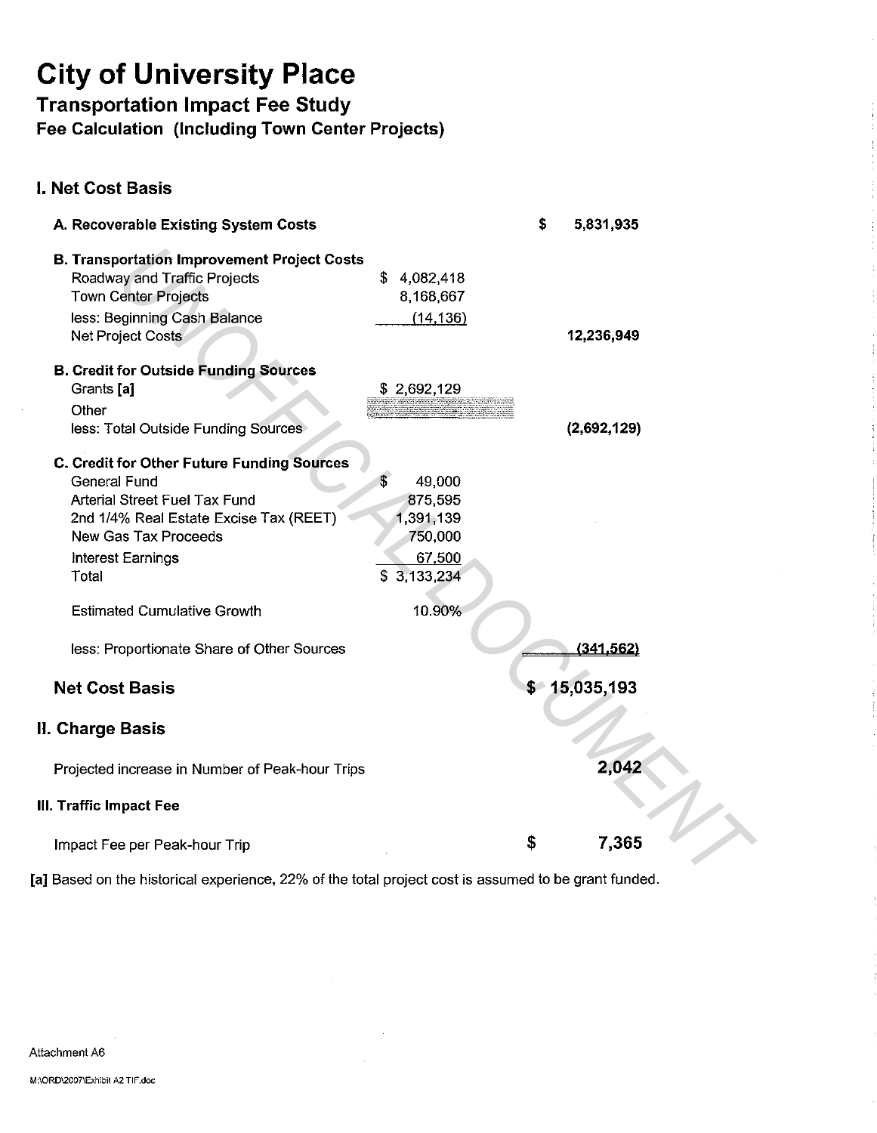**Transportation Impact Fee Study** 

**Fee Calculation (Including Town Center Projects)** 

### **I. Net Cost Basis**

| A. Recoverable Existing System Costs                                                                                                                                                                      |     |                                                                    | \$ | 5,831,935    |  |
|-----------------------------------------------------------------------------------------------------------------------------------------------------------------------------------------------------------|-----|--------------------------------------------------------------------|----|--------------|--|
| <b>B. Transportation Improvement Project Costs</b><br>Roadway and Traffic Projects<br><b>Town Center Projects</b><br>less: Beginning Cash Balance<br>Net Project Costs                                    | \$. | 4,082,418<br>8,168,667<br>(14, 136)                                |    | 12,236,949   |  |
| <b>B. Credit for Outside Funding Sources</b><br>Grants [a]<br>Other<br>less: Total Outside Funding Sources                                                                                                |     | \$2,692,129                                                        |    | (2,692,129)  |  |
| C. Credit for Other Future Funding Sources<br><b>General Fund</b><br>Arterial Street Fuel Tax Fund<br>2nd 1/4% Real Estate Excise Tax (REET)<br><b>New Gas Tax Proceeds</b><br>Interest Earnings<br>Total |     | 49,000<br>875,595<br>1,391,139<br>750,000<br>67,500<br>\$3,133,234 |    |              |  |
| <b>Estimated Cumulative Growth</b><br>less: Proportionate Share of Other Sources                                                                                                                          |     | 10.90%                                                             |    | (341, 562)   |  |
| <b>Net Cost Basis</b>                                                                                                                                                                                     |     |                                                                    |    | \$15,035,193 |  |
| II. Charge Basis                                                                                                                                                                                          |     |                                                                    |    |              |  |
| Projected increase in Number of Peak-hour Trips                                                                                                                                                           |     |                                                                    |    | 2,042        |  |
| III. Traffic Impact Fee                                                                                                                                                                                   |     |                                                                    |    |              |  |
| Impact Fee per Peak-hour Trip                                                                                                                                                                             |     |                                                                    | \$ | 7,365        |  |
| al Based on the historical experience, 22% of the total project cost is assumed to be grant funded.                                                                                                       |     |                                                                    |    |              |  |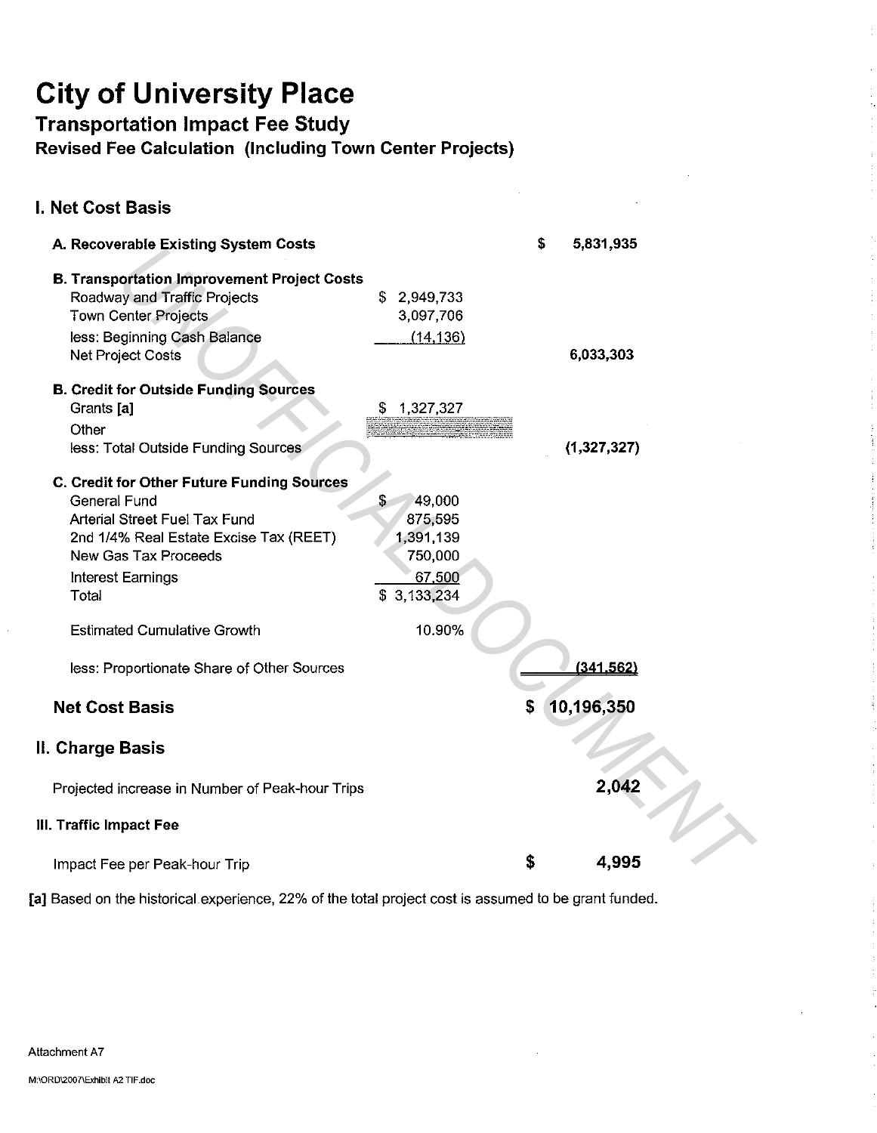Transportation Impact Fee Study

Revised Fee Calculation (Including Town Center Projects)

#### I. Net Cost Basis A. Recoverable Existing System Costs B. Transportation Improvement Project Costs Roadway and Traffic Projects Town Center Projects less: Beginning Cash Balance Net Project Costs B. Credit for Outside Funding Sources Grants [a] **Other** less: Total Outside Funding Sources C. Credit for other Future Funding Sources General Fund Arterial Street Fuel Tax Fund 2nd 1/4% Real Estate Excise Tax (REET) New Gas Tax Proceeds Interest Earnings **Total** Estimated Cumulative Growth less: Proportionate Share of Other Sources Net Cost Basis II. Charge Basis Projected increase in Number of Peak-hour Trips Ill. Traffic Impact Fee Impact Fee per Peak-hour Trip \$ 2,949,733 3,097,706 (14,136) \$ 49,000 875,595 1,391,139 750,000 67 500 \$ 3,133,234 10.90% \$ 5,831,935 6,033,303 {1,327,327)  $(341.562)$ \$ 10,196,350 2,042  $$ 4.995$ **Example Existing System costs**<br> **Optimal Traffic Project**<br>
System Christics States States States States States States States States States States States Costs<br>
in the Collision of Control of States Costs<br>
in the Costs St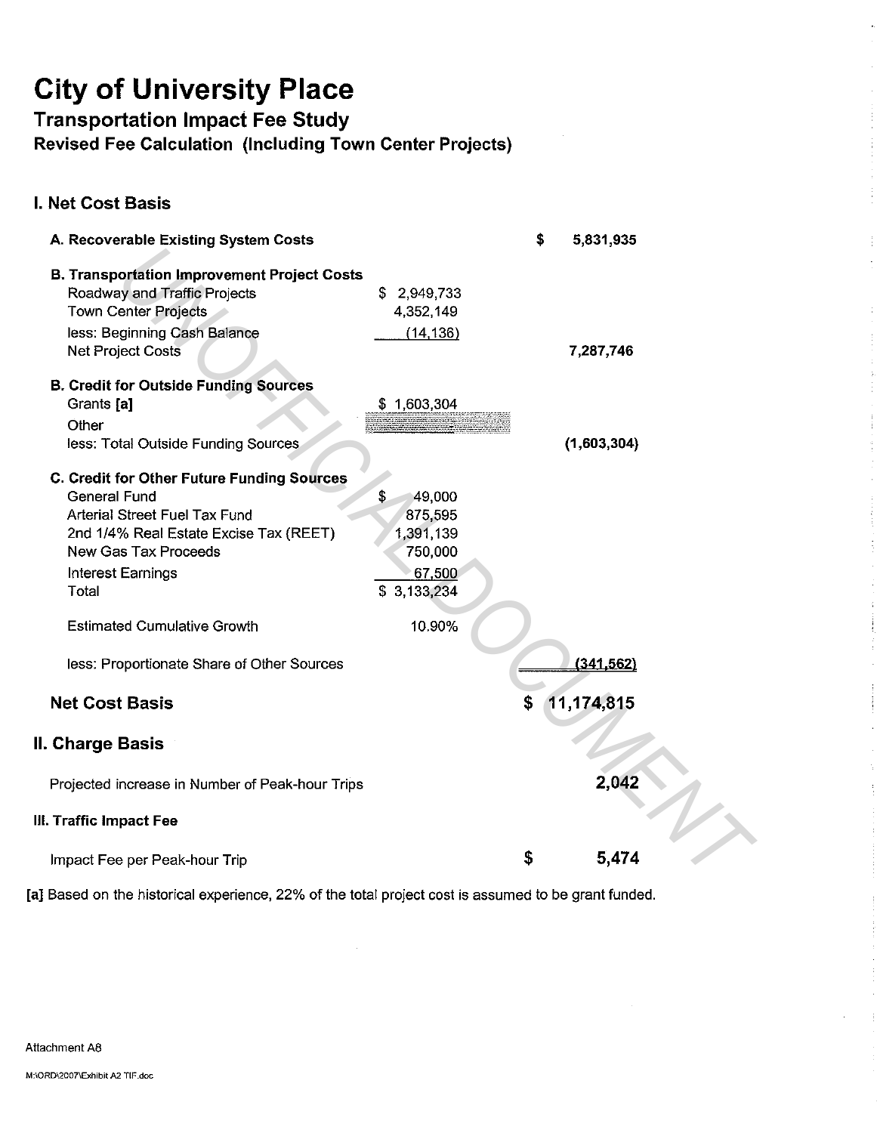Transportation Impact Fee Study

Revised Fee Calculation (Including Town Center Projects)

### I. Net Cost Basis

| A. Recoverable Existing System Costs               |              | \$<br>5,831,935  |  |
|----------------------------------------------------|--------------|------------------|--|
| <b>B. Transportation Improvement Project Costs</b> |              |                  |  |
| Roadway and Traffic Projects                       | \$2,949,733  |                  |  |
| <b>Town Center Projects</b>                        | 4,352,149    |                  |  |
| less: Beginning Cash Balance                       | (14, 136)    |                  |  |
| <b>Net Project Costs</b>                           |              | 7,287,746        |  |
|                                                    |              |                  |  |
| <b>B. Credit for Outside Funding Sources</b>       |              |                  |  |
| Grants [a]                                         | \$1,603,304  |                  |  |
| Other                                              |              |                  |  |
| less: Total Outside Funding Sources                |              | (1,603,304)      |  |
| C. Credit for Other Future Funding Sources         |              |                  |  |
| <b>General Fund</b>                                | \$<br>49,000 |                  |  |
| Arterial Street Fuel Tax Fund                      | 875,595      |                  |  |
| 2nd 1/4% Real Estate Excise Tax (REET)             | 1,391,139    |                  |  |
| <b>New Gas Tax Proceeds</b>                        | 750,000      |                  |  |
| Interest Earnings                                  | 67,500       |                  |  |
| Total                                              | \$3,133,234  |                  |  |
| <b>Estimated Cumulative Growth</b>                 | 10.90%       |                  |  |
| less: Proportionate Share of Other Sources         |              | (341, 562)       |  |
| <b>Net Cost Basis</b>                              |              | \$<br>11,174,815 |  |
| II. Charge Basis                                   |              |                  |  |
| Projected increase in Number of Peak-hour Trips    |              | 2,042            |  |
| III. Traffic Impact Fee                            |              |                  |  |
| Impact Fee per Peak-hour Trip                      |              | \$<br>5,474      |  |

 $\ddot{\phantom{a}}$ 

÷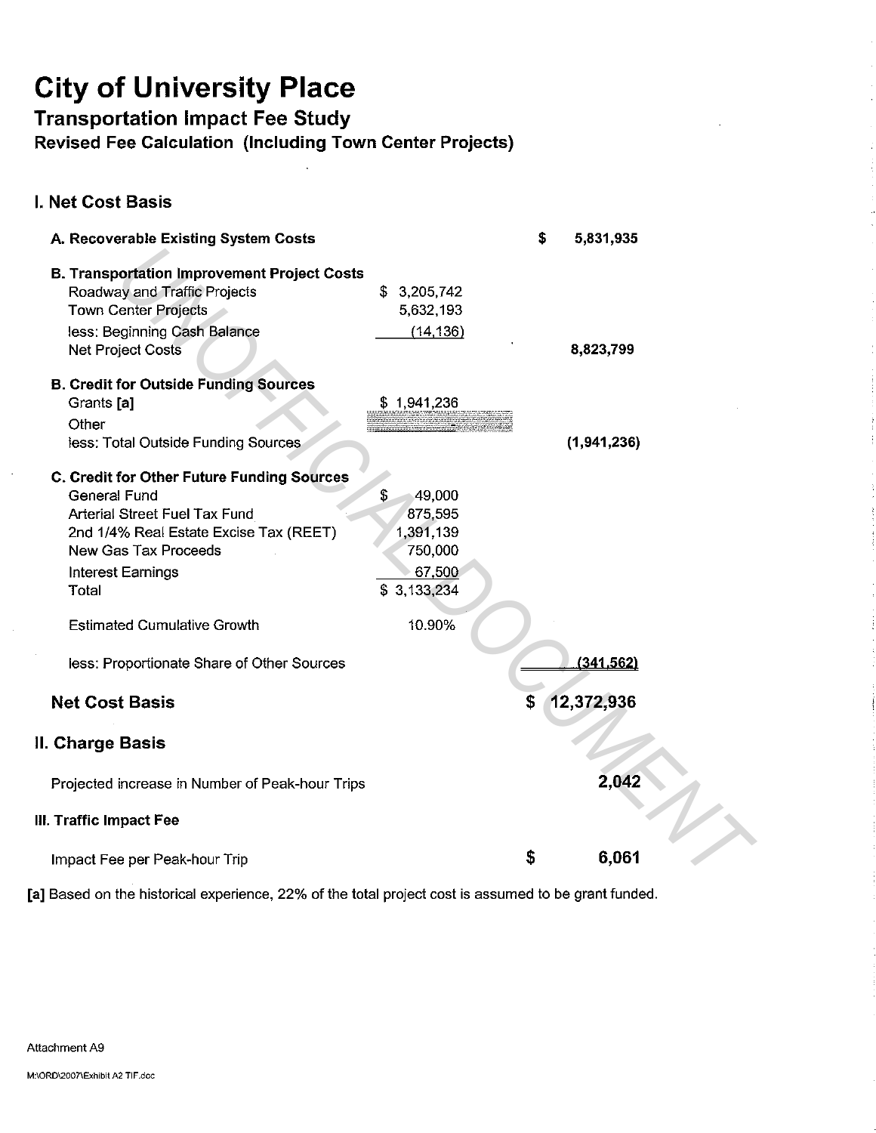Transportation Impact Fee Study

Revised Fee Calculation (Including Town Center Projects)

### I. Net Cost Basis

| A. Recoverable Existing System Costs                                                                                                                                                                                                            |                                                                                        | \$ | 5,831,935   |  |
|-------------------------------------------------------------------------------------------------------------------------------------------------------------------------------------------------------------------------------------------------|----------------------------------------------------------------------------------------|----|-------------|--|
| <b>B. Transportation Improvement Project Costs</b><br>Roadway and Traffic Projects<br><b>Town Center Projects</b><br>less: Beginning Cash Balance<br><b>Net Project Costs</b>                                                                   | \$<br>3,205,742<br>5,632,193<br>(14, 136)                                              |    | 8,823,799   |  |
| <b>B. Credit for Outside Funding Sources</b><br>Grants [a]<br>Other                                                                                                                                                                             | \$1,941,236                                                                            |    |             |  |
| less: Total Outside Funding Sources                                                                                                                                                                                                             |                                                                                        |    | (1,941,236) |  |
| C. Credit for Other Future Funding Sources<br><b>General Fund</b><br>Arterial Street Fuel Tax Fund<br>2nd 1/4% Real Estate Excise Tax (REET)<br>New Gas Tax Proceeds<br>Interest Earnings<br><b>Total</b><br><b>Estimated Cumulative Growth</b> | 49,000<br>\$<br>875,595<br>1,391,139<br>750,000<br>67,500<br>\$<br>3,133,234<br>10.90% |    |             |  |
| less: Proportionate Share of Other Sources                                                                                                                                                                                                      |                                                                                        |    | (341, 562)  |  |
| <b>Net Cost Basis</b>                                                                                                                                                                                                                           |                                                                                        | Ŝ  | 12,372,936  |  |
| ll. Charge Basis                                                                                                                                                                                                                                |                                                                                        |    |             |  |
| Projected increase in Number of Peak-hour Trips                                                                                                                                                                                                 |                                                                                        |    | 2,042       |  |
| III. Traffic Impact Fee                                                                                                                                                                                                                         |                                                                                        |    |             |  |
| Impact Fee per Peak-hour Trip                                                                                                                                                                                                                   |                                                                                        | \$ | 6,061       |  |
|                                                                                                                                                                                                                                                 |                                                                                        |    |             |  |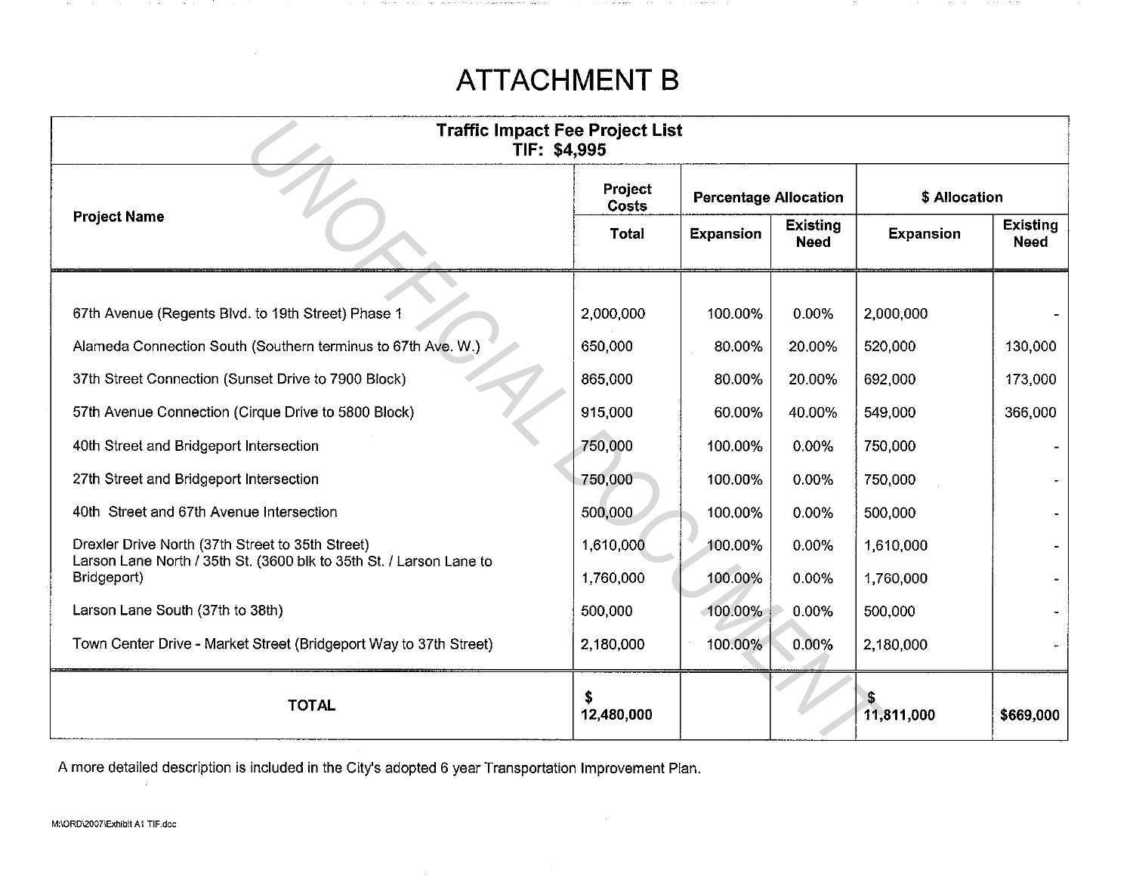## **ATTACHMENT B**

**Section Advised** 

The company of the company of

| <b>Traffic Impact Fee Project List</b><br>TIF: \$4,995                             |                         |                              |                                |                  |                                |  |  |  |  |
|------------------------------------------------------------------------------------|-------------------------|------------------------------|--------------------------------|------------------|--------------------------------|--|--|--|--|
|                                                                                    | Project<br><b>Costs</b> | <b>Percentage Allocation</b> |                                | \$ Allocation    |                                |  |  |  |  |
| <b>Project Name</b>                                                                | Total                   | <b>Expansion</b>             | <b>Existing</b><br><b>Need</b> | <b>Expansion</b> | <b>Existing</b><br><b>Need</b> |  |  |  |  |
| 67th Avenue (Regents Blvd. to 19th Street) Phase 1                                 | 2,000,000               | 100.00%                      | 0.00%                          | 2,000,000        |                                |  |  |  |  |
| Alameda Connection South (Southern terminus to 67th Ave. W.)                       | 650,000                 | 80.00%                       | 20.00%                         | 520,000          | 130,000                        |  |  |  |  |
| 37th Street Connection (Sunset Drive to 7900 Block)                                | 865,000                 | 80.00%                       | 20.00%                         | 692,000          | 173,000                        |  |  |  |  |
| 57th Avenue Connection (Cirque Drive to 5800 Block)                                | 915,000                 | 60.00%                       | 40.00%                         | 549,000          | 366,000                        |  |  |  |  |
| 40th Street and Bridgeport Intersection                                            | 750,000                 | 100.00%                      | 0.00%                          | 750,000          |                                |  |  |  |  |
| 27th Street and Bridgeport Intersection                                            | 750,000                 | 100.00%                      | 0.00%                          | 750,000          |                                |  |  |  |  |
| 40th Street and 67th Avenue Intersection                                           | 500,000                 | 100.00%                      | 0.00%                          | 500,000          |                                |  |  |  |  |
| Drexler Drive North (37th Street to 35th Street)                                   | 1,610,000               | 100.00%                      | 0.00%                          | 1,610,000        |                                |  |  |  |  |
| Larson Lane North / 35th St. (3600 blk to 35th St. / Larson Lane to<br>Bridgeport) | 1,760,000               | 100.00%                      | 0.00%                          | 1,760,000        |                                |  |  |  |  |
| Larson Lane South (37th to 38th)                                                   | 500,000                 | $-100.00\%$                  | 0.00%                          | 500,000          |                                |  |  |  |  |
| Town Center Drive - Market Street (Bridgeport Way to 37th Street)                  | 2,180,000               | 100.00%                      | 0.00%                          | 2,180,000        |                                |  |  |  |  |
| <b>TOTAL</b>                                                                       | 12,480,000              |                              |                                | 11,811,000       | \$669,000                      |  |  |  |  |

A more detailed description is included in the City's adopted 6 year Transportation Improvement Plan.